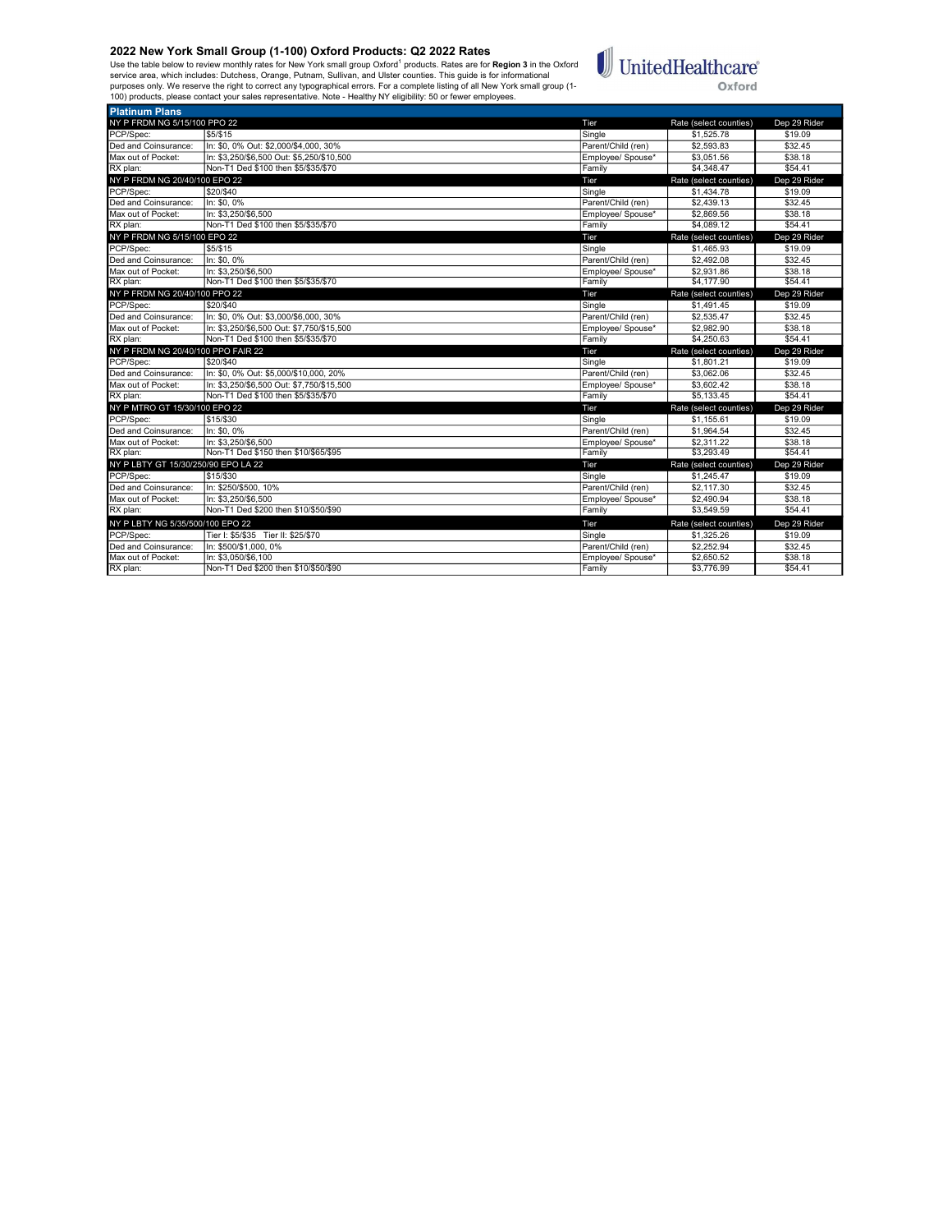Use the table below to review monthly rates for New York small group Oxford<sup>1</sup> products. Rates are for **Region 3** in the Oxford<br>service area, which includes: Dutchess, Orange, Putnam, Sullivan, and Ulster counties. This gu



| <b>Platinum Plans</b>               |                                           |                    |                          |                    |
|-------------------------------------|-------------------------------------------|--------------------|--------------------------|--------------------|
| NY P FRDM NG 5/15/100 PPO 22        |                                           | Tier               | Rate (select counties)   | Dep 29 Rider       |
| PCP/Spec:                           | \$5/\$15                                  | Single             | \$1,525.78               | \$19.09            |
| Ded and Coinsurance:                | In: \$0, 0% Out: \$2,000/\$4,000, 30%     | Parent/Child (ren) | \$2,593.83               | \$32.45            |
| Max out of Pocket:                  | In: \$3.250/\$6.500 Out: \$5.250/\$10.500 | Employee/ Spouse*  | \$3.051.56               | \$38.18            |
| RX plan:                            | Non-T1 Ded \$100 then \$5/\$35/\$70       | Family             | \$4,348.47               | \$54.41            |
| NY P FRDM NG 20/40/100 EPO 22       |                                           | Tier               | Rate (select counties)   | Dep 29 Rider       |
| PCP/Spec:                           | \$20/\$40                                 | Single             | \$1,434.78               | \$19.09            |
| Ded and Coinsurance:                | In: \$0.0%                                | Parent/Child (ren) | \$2,439.13               | \$32.45            |
| Max out of Pocket:                  | In: \$3.250/\$6.500                       | Employee/ Spouse*  | \$2,869.56               | \$38.18            |
| RX plan:                            | Non-T1 Ded \$100 then \$5/\$35/\$70       | Family             | \$4,089.12               | \$54.41            |
| NY P FRDM NG 5/15/100 EPO 22        |                                           | Tier               | Rate (select counties)   | Dep 29 Rider       |
| PCP/Spec:                           | \$5/\$15                                  | Single             | \$1,465.93               | \$19.09            |
| Ded and Coinsurance:                | In: \$0, 0%                               | Parent/Child (ren) | \$2,492.08               | \$32.45            |
| Max out of Pocket:                  | In: \$3.250/\$6.500                       | Employee/ Spouse*  | \$2,931.86               | \$38.18            |
| RX plan:                            | Non-T1 Ded \$100 then \$5/\$35/\$70       | Family             | \$4,177,90               | \$54.41            |
| NY P FRDM NG 20/40/100 PPO 22       |                                           | Tier               | Rate (select counties)   | Dep 29 Rider       |
| PCP/Spec:                           | \$20/\$40                                 | Single             | \$1,491.45               | \$19.09            |
| Ded and Coinsurance:                | In: \$0, 0% Out: \$3,000/\$6,000, 30%     | Parent/Child (ren) | \$2,535.47               | \$32.45            |
| Max out of Pocket:                  | In: \$3.250/\$6.500 Out: \$7.750/\$15.500 | Employee/ Spouse*  | \$2,982.90               | \$38.18            |
| RX plan:                            |                                           |                    | \$4,250.63               |                    |
|                                     | Non-T1 Ded \$100 then \$5/\$35/\$70       | Family             |                          | \$54.41            |
| NY P FRDM NG 20/40/100 PPO FAIR 22  |                                           | Tier               | Rate (select counties)   | Dep 29 Rider       |
| PCP/Spec:                           | \$20/\$40                                 | Single             | \$1,801.21               | \$19.09            |
| Ded and Coinsurance:                | In: \$0, 0% Out: \$5,000/\$10,000, 20%    | Parent/Child (ren) | \$3,062.06               | \$32.45            |
| Max out of Pocket:                  | In: \$3,250/\$6,500 Out: \$7,750/\$15,500 | Employee/ Spouse*  | \$3,602.42               | \$38.18            |
| RX plan:                            | Non-T1 Ded \$100 then \$5/\$35/\$70       | Family             | \$5,133.45               | \$54.41            |
| NY P MTRO GT 15/30/100 EPO 22       |                                           | Tier               | Rate (select counties)   | Dep 29 Rider       |
| PCP/Spec:                           | \$15/\$30                                 | Single             | \$1.155.61               | \$19.09            |
| Ded and Coinsurance:                | In: \$0, 0%                               | Parent/Child (ren) | \$1,964.54               | \$32.45            |
| Max out of Pocket:                  | In: \$3.250/\$6.500                       | Employee/ Spouse*  | \$2.311.22               | \$38.18            |
| RX plan:                            | Non-T1 Ded \$150 then \$10/\$65/\$95      | Family             | \$3,293.49               | \$54.41            |
| NY P LBTY GT 15/30/250/90 EPO LA 22 |                                           | Tier               | Rate (select counties)   | Dep 29 Rider       |
| PCP/Spec:                           | \$15/\$30                                 | Single             | \$1,245.47               | \$19.09            |
| Ded and Coinsurance:                | In: \$250/\$500, 10%                      | Parent/Child (ren) | \$2,117.30               | \$32.45            |
| Max out of Pocket:                  | In: \$3.250/\$6.500                       | Employee/ Spouse*  | \$2,490.94               | \$38.18            |
| RX plan:                            | Non-T1 Ded \$200 then \$10/\$50/\$90      | Family             | \$3.549.59               | \$54.41            |
| NY P LBTY NG 5/35/500/100 EPO 22    |                                           | Tier               | Rate (select counties)   | Dep 29 Rider       |
| PCP/Spec:                           | Tier I: \$5/\$35 Tier II: \$25/\$70       | Sinale             | \$1,325.26               | \$19.09            |
| Ded and Coinsurance:                | In: \$500/\$1,000, 0%                     | Parent/Child (ren) | \$2,252.94               | \$32.45            |
| Max out of Pocket:<br>RX plan:      | In: \$3.050/\$6.100                       | Emplovee/ Spouse*  | \$2,650.52<br>\$3,776.99 | \$38.18<br>\$54.41 |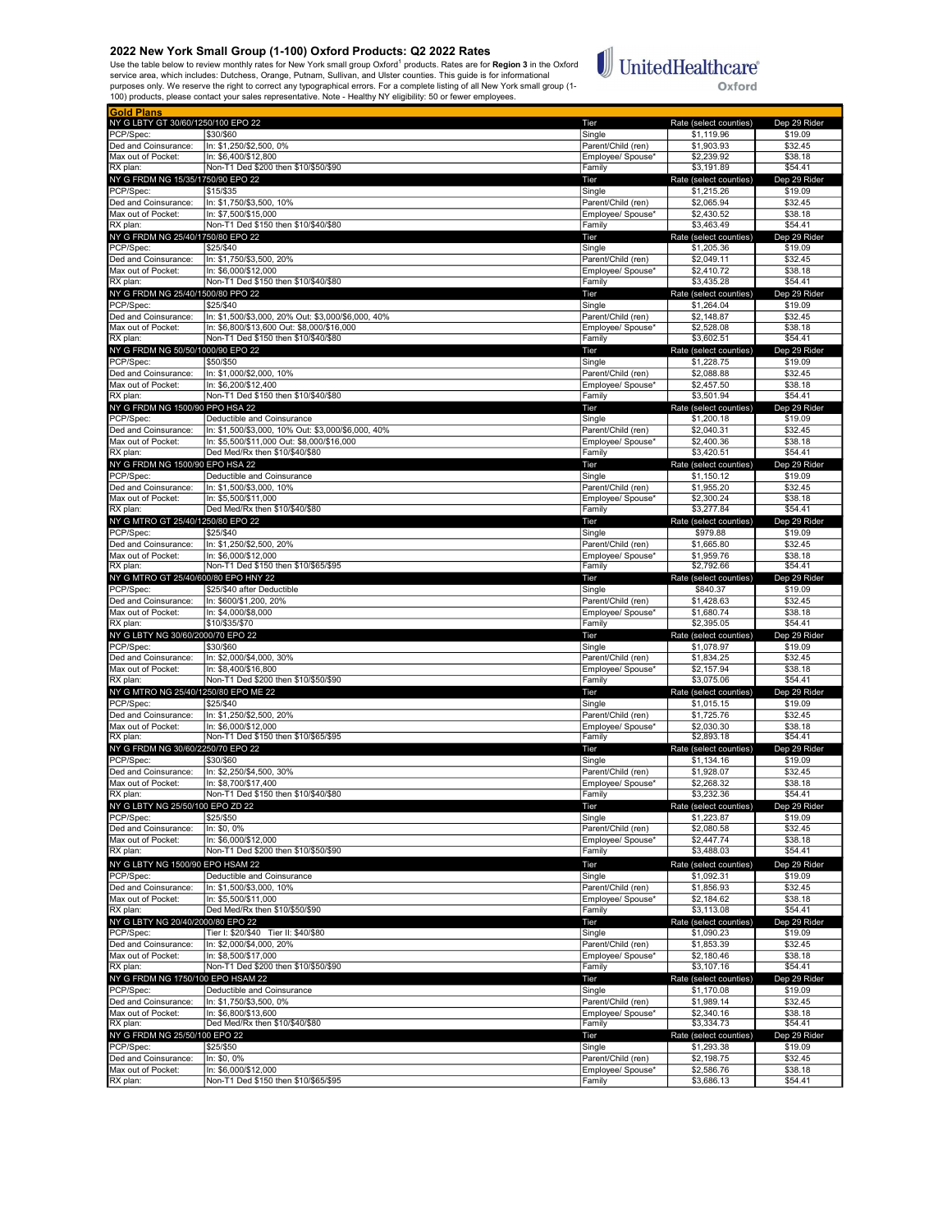Use the table below to review monthly rates for New York small group Oxford<sup>1</sup> products. Rates are for **Region 3** in the Oxford<br>service area, which includes: Dutchess, Orange, Putnam, Sullivan, and Ulster counties. This gu



| <b>Gold Plans</b>                            |                                                                              |                              |                                      |                         |
|----------------------------------------------|------------------------------------------------------------------------------|------------------------------|--------------------------------------|-------------------------|
| NY G LBTY GT 30/60/1250/100 EPO 22           |                                                                              | Tier                         | Rate (select counties)               | Dep 29 Rider            |
| PCP/Spec:                                    | \$30/\$60                                                                    | Single                       | \$1,119.96                           | \$19.09                 |
| Ded and Coinsurance:                         | In: \$1,250/\$2,500, 0%                                                      | Parent/Child (ren)           | \$1,903.93                           | \$32.45                 |
| Max out of Pocket:                           | In: \$6,400/\$12,800                                                         | Emplovee/ Spouse*            | \$2.239.92                           | \$38.18                 |
| RX plan:                                     | Non-T1 Ded \$200 then \$10/\$50/\$90                                         | Family                       | \$3,191.89                           | \$54.41                 |
| NY G FRDM NG 15/35/1750/90 EPO 22            |                                                                              | Tier                         | Rate (select counties)               | Dep 29 Rider            |
| PCP/Spec:<br>Ded and Coinsurance:            | \$15/\$35<br>In: \$1,750/\$3,500, 10%                                        | Single<br>Parent/Child (ren) | \$1,215.26<br>\$2,065.94             | \$19.09<br>\$32.45      |
| Max out of Pocket:                           | In: \$7,500/\$15,000                                                         | Employee/ Spouse*            | \$2,430.52                           | \$38.18                 |
| RX plan:                                     | Non-T1 Ded \$150 then \$10/\$40/\$80                                         | Family                       | \$3,463.49                           | \$54.41                 |
| NY G FRDM NG 25/40/1750/80 EPO 22            |                                                                              | Tier                         | Rate (select counties)               | Dep 29 Rider            |
| PCP/Spec:                                    | \$25/\$40                                                                    | Single                       | \$1,205.36                           | \$19.09                 |
| Ded and Coinsurance:                         | In: \$1,750/\$3,500, 20%                                                     | Parent/Child (ren)           | \$2,049.11                           | \$32.45                 |
| Max out of Pocket:                           | In: \$6,000/\$12,000                                                         | Employee/ Spouse*            | \$2,410.72                           | \$38.18                 |
| RX plan:                                     | Non-T1 Ded \$150 then \$10/\$40/\$80                                         | Family                       | \$3,435.28                           | \$54.41                 |
| NY G FRDM NG 25/40/1500/80 PPO 22            |                                                                              | Tier                         | Rate (select counties)               | Dep 29 Rider            |
| PCP/Spec:                                    | \$25/\$40                                                                    | Single                       | \$1,264.04                           | \$19.09                 |
| Ded and Coinsurance:                         | In: \$1,500/\$3,000, 20% Out: \$3,000/\$6,000, 40%                           | Parent/Child (ren)           | \$2,148.87                           | \$32.45                 |
| Max out of Pocket:                           | In: \$6,800/\$13,600 Out: \$8,000/\$16,000                                   | Emplovee/ Spouse*            | \$2,528.08                           | \$38.18                 |
| RX plan:                                     | Non-T1 Ded \$150 then \$10/\$40/\$80                                         | Family                       | \$3,602.51                           | \$54.41                 |
| NY G FRDM NG 50/50/1000/90 EPO 22            |                                                                              | Tier                         | Rate (select counties)               | Dep 29 Rider            |
| PCP/Spec:                                    | \$50/\$50                                                                    | Single                       | \$1,228.75                           | \$19.09                 |
| Ded and Coinsurance:                         | In: \$1,000/\$2,000, 10%                                                     | Parent/Child (ren)           | \$2,088.88                           | \$32.45                 |
| Max out of Pocket:                           | In: \$6,200/\$12,400                                                         | Employee/ Spouse*            | \$2,457.50                           | \$38.18                 |
| RX plan:                                     | Non-T1 Ded \$150 then \$10/\$40/\$80                                         | Family                       | \$3,501.94                           | \$54.41                 |
| NY G FRDM NG 1500/90 PPO HSA 22              |                                                                              | Tier                         | Rate (select counties)               | Dep 29 Rider            |
| PCP/Spec:                                    | Deductible and Coinsurance                                                   | Single                       | \$1,200.18                           | \$19.09                 |
| Ded and Coinsurance:                         | In: \$1.500/\$3.000. 10% Out: \$3.000/\$6.000. 40%                           | Parent/Child (ren)           | \$2,040.31                           | \$32.45                 |
| Max out of Pocket:<br>RX plan:               | In: \$5,500/\$11,000 Out: \$8,000/\$16,000<br>Ded Med/Rx then \$10/\$40/\$80 | Employee/ Spouse*<br>Family  | \$2,400.36<br>\$3,420.51             | \$38.18<br>\$54.41      |
|                                              |                                                                              |                              |                                      |                         |
| NY G FRDM NG 1500/90 EPO HSA 22<br>PCP/Spec: | Deductible and Coinsurance                                                   | Tier<br>Single               | Rate (select counties)<br>\$1,150.12 | Dep 29 Rider<br>\$19.09 |
| Ded and Coinsurance:                         | In: \$1,500/\$3,000, 10%                                                     | Parent/Child (ren)           | \$1,955.20                           | \$32.45                 |
| Max out of Pocket:                           | In: \$5,500/\$11,000                                                         | Employee/ Spouse*            | \$2,300.24                           | \$38.18                 |
| RX plan:                                     | Ded Med/Rx then \$10/\$40/\$80                                               | Family                       | \$3,277.84                           | \$54.41                 |
| NY G MTRO GT 25/40/1250/80 EPO 22            |                                                                              | Tier                         | Rate (select counties)               | Dep 29 Rider            |
| PCP/Spec:                                    | \$25/\$40                                                                    | Single                       | \$979.88                             | \$19.09                 |
| Ded and Coinsurance:                         | In: \$1,250/\$2,500, 20%                                                     | Parent/Child (ren)           | \$1.665.80                           | \$32.45                 |
| Max out of Pocket:                           | In: \$6.000/\$12.000                                                         | Employee/ Spouse*            | \$1,959.76                           | \$38.18                 |
| RX plan:                                     | Non-T1 Ded \$150 then \$10/\$65/\$95                                         | Family                       | \$2,792.66                           | \$54.41                 |
| NY G MTRO GT 25/40/600/80 EPO HNY 22         |                                                                              | Tier                         | Rate (select counties)               | Dep 29 Rider            |
| PCP/Spec:                                    | \$25/\$40 after Deductible                                                   | Single                       | \$840.37                             | \$19.09                 |
| Ded and Coinsurance:                         | In: \$600/\$1,200, 20%                                                       | Parent/Child (ren)           | \$1,428.63                           | \$32.45                 |
| Max out of Pocket:                           | In: \$4,000/\$8,000                                                          | Employee/ Spouse*            | \$1,680.74                           | \$38.18                 |
| RX plan:                                     | \$10/\$35/\$70                                                               | Family                       | \$2,395.05                           | \$54.41                 |
| NY G LBTY NG 30/60/2000/70 EPO 22            |                                                                              | Tier                         | Rate (select counties)               | Dep 29 Rider            |
| PCP/Spec:                                    | \$30/\$60                                                                    | Single                       | \$1,078.97                           | \$19.09                 |
| Ded and Coinsurance:                         | In: \$2,000/\$4,000, 30%                                                     | Parent/Child (ren)           | \$1,834.25                           | \$32.45                 |
| Max out of Pocket:<br>RX plan:               | In: \$8,400/\$16,800<br>Non-T1 Ded \$200 then \$10/\$50/\$90                 | Employee/ Spouse*<br>Family  | \$2,157.94<br>\$3,075.06             | \$38.18<br>\$54.41      |
| NY G MTRO NG 25/40/1250/80 EPO ME 22         |                                                                              | Tier                         | Rate (select counties)               | Dep 29 Rider            |
| PCP/Spec:                                    | \$25/\$40                                                                    | Single                       | \$1,015.15                           | \$19.09                 |
| Ded and Coinsurance:                         | In: \$1,250/\$2,500, 20%                                                     | Parent/Child (ren)           | \$1,725.76                           | \$32.45                 |
| Max out of Pocket:                           | In: \$6,000/\$12,000                                                         | Emplovee/ Spouse*            | \$2,030.30                           | \$38.18                 |
| RX plan:                                     | Non-T1 Ded \$150 then \$10/\$65/\$95                                         | Family                       | \$2,893.18                           | \$54.41                 |
| NY G FRDM NG 30/60/2250/70 EPO 22            |                                                                              | Tier                         | Rate (select counties)               | Dep 29 Rider            |
| PCP/Spec:                                    | \$30/\$60                                                                    | Single                       | \$1,134.16                           | \$19.09                 |
| Ded and Coinsurance:                         | In: \$2,250/\$4,500, 30%                                                     | Parent/Child (ren)           | \$1,928.07                           | \$32.45                 |
| Max out of Pocket:                           | In: \$8.700/\$17.400                                                         | Employee/ Spouse*            | \$2,268.32                           | \$38.18                 |
| RX plan:                                     | Non-T1 Ded \$150 then \$10/\$40/\$80                                         | Family                       | \$3,232.36                           | \$54.41                 |
| NY G LBTY<br>וטכוכג טוו                      | IUU EPU Z <i>U Z</i> Z                                                       | <u>rer</u>                   | Rate (select countles                | peb sa kige             |
| PCP/Spec:                                    | \$25/\$50                                                                    | Single                       | \$1,223.87                           | \$19.09                 |
| Ded and Coinsurance:                         | In: \$0, 0%                                                                  | Parent/Child (ren)           | \$2,080.58                           | \$32.45                 |
| Max out of Pocket:                           | In: \$6,000/\$12,000                                                         | Employee/ Spouse*            | \$2,447.74                           | \$38.18                 |
| RX plan:                                     | Non-T1 Ded \$200 then \$10/\$50/\$90                                         | Family                       | \$3,488.03                           | \$54.41                 |
| NY G LBTY NG 1500/90 EPO HSAM 22             |                                                                              | Tier                         | Rate (select counties)               | Dep 29 Rider            |
| PCP/Spec:                                    | Deductible and Coinsurance                                                   | Single                       | \$1,092.31                           | \$19.09                 |
| Ded and Coinsurance:                         | In: \$1,500/\$3,000, 10%                                                     | Parent/Child (ren)           | \$1,856.93                           | \$32.45                 |
| Max out of Pocket:<br>RX plan:               | In: \$5,500/\$11,000<br>Ded Med/Rx then \$10/\$50/\$90                       | Emplovee/ Spouse*            | \$2,184.62                           | \$38.18                 |
|                                              |                                                                              | Family                       | \$3,113.08                           | \$54.41                 |
| NY G LBTY NG 20/40/2000/80 EPO 22            |                                                                              | Tier                         | Rate (select counties)<br>\$1,090.23 | Dep 29 Rider            |
| PCP/Spec:<br>Ded and Coinsurance:            | Tier I: \$20/\$40 Tier II: \$40/\$80<br>In: \$2,000/\$4,000, 20%             | Single<br>Parent/Child (ren) | \$1,853.39                           | \$19.09<br>\$32.45      |
| Max out of Pocket:                           | In: \$8.500/\$17.000                                                         | Employee/ Spouse*            | \$2,180.46                           | \$38.18                 |
| RX plan:                                     | Non-T1 Ded \$200 then \$10/\$50/\$90                                         | Family                       | \$3,107.16                           | \$54.41                 |
| NY G FRDM NG 1750/100 EPO HSAM 22            |                                                                              | Tier                         | Rate (select counties)               | Dep 29 Rider            |
| PCP/Spec:                                    | Deductible and Coinsurance                                                   | Single                       | \$1,170.08                           | \$19.09                 |
| Ded and Coinsurance:                         | In: \$1,750/\$3,500, 0%                                                      | Parent/Child (ren)           | \$1,989.14                           | \$32.45                 |
| Max out of Pocket:                           | In: \$6,800/\$13,600                                                         | Employee/ Spouse*            | \$2,340.16                           | \$38.18                 |
| RX plan:                                     | Ded Med/Rx then \$10/\$40/\$80                                               | Family                       | \$3,334.73                           | \$54.41                 |
| NY G FRDM NG 25/50/100 EPO 22                |                                                                              | Tier                         | Rate (select counties)               | Dep 29 Rider            |
| PCP/Spec:                                    | \$25/\$50                                                                    | Single                       | \$1,293.38                           | \$19.09                 |
| Ded and Coinsurance:                         | In: \$0, 0%                                                                  | Parent/Child (ren)           | \$2,198.75                           | \$32.45                 |
| Max out of Pocket:                           | In: \$6,000/\$12,000                                                         | Employee/ Spouse*            | \$2,586.76                           | \$38.18                 |
| RX plan:                                     | Non-T1 Ded \$150 then \$10/\$65/\$95                                         | Family                       | \$3,686.13                           | \$54.41                 |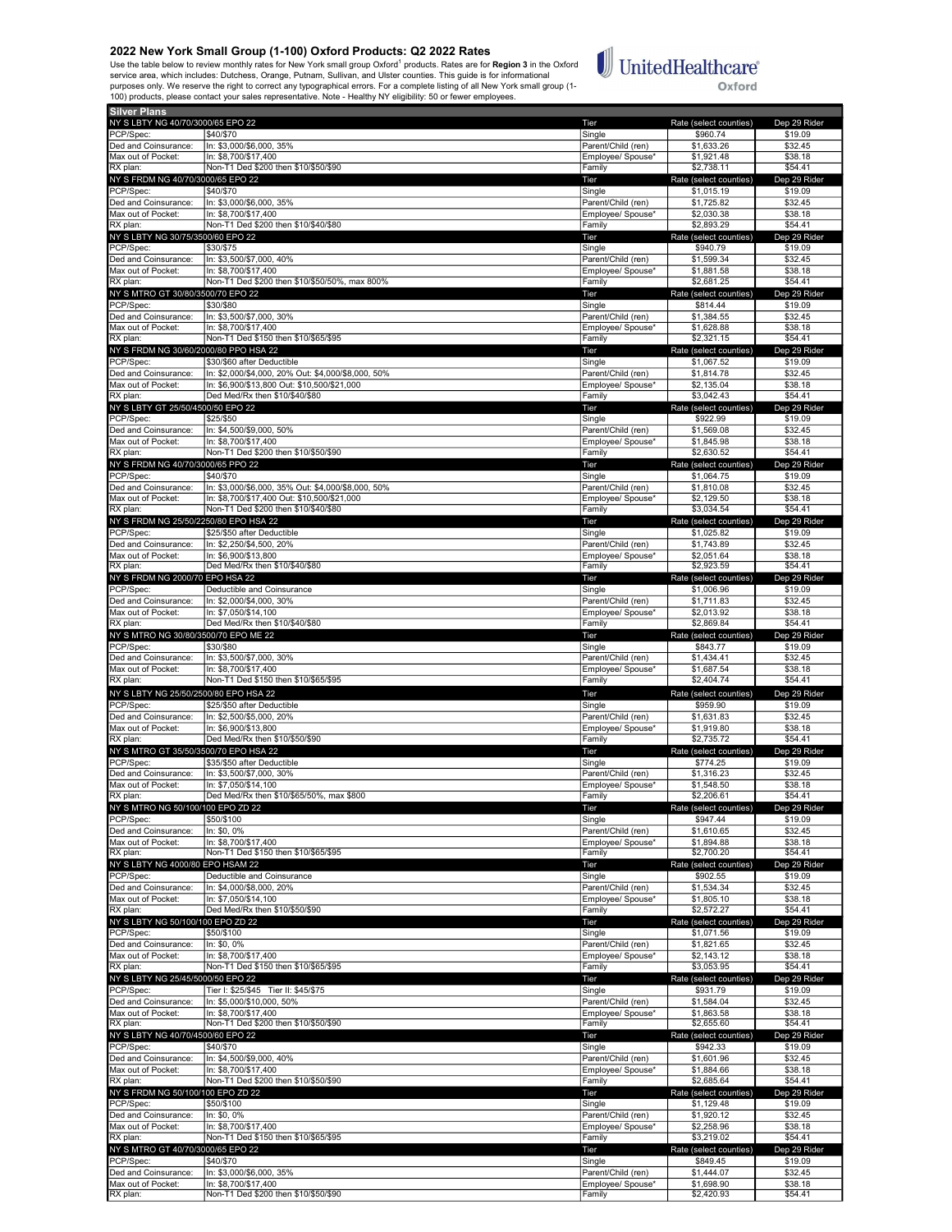Use the table below to review monthly rates for New York small group Oxford<sup>1</sup> products. Rates are for **Region 3** in the Oxford<br>service area, which includes: Dutchess, Orange, Putnam, Sullivan, and Ulster counties. This gu



| <b>Silver Plans</b>                                |                                                                                                   |                                         |                                      |                         |
|----------------------------------------------------|---------------------------------------------------------------------------------------------------|-----------------------------------------|--------------------------------------|-------------------------|
| NY S LBTY NG 40/70/3000/65 EPO 22                  |                                                                                                   | Tier                                    | Rate (select counties)               | Dep 29 Rider            |
| PCP/Spec:                                          | \$40/\$70                                                                                         | Single                                  | \$960.74                             | \$19.09                 |
| Ded and Coinsurance:                               | In: \$3,000/\$6,000, 35%                                                                          | Parent/Child (ren)                      | \$1,633.26                           | \$32.45                 |
| Max out of Pocket:                                 | In: \$8,700/\$17,400                                                                              | Employee/ Spouse*                       | \$1,921.48                           | \$38.18                 |
| RX plan:                                           | Non-T1 Ded \$200 then \$10/\$50/\$90                                                              | Family                                  | \$2,738.11                           | \$54.41                 |
| NY S FRDM NG 40/70/3000/65 EPO 22<br>PCP/Spec:     | \$40/\$70                                                                                         | Tier<br>Single                          | Rate (select counties)               | Dep 29 Rider            |
| Ded and Coinsurance:                               | In: \$3,000/\$6,000, 35%                                                                          | Parent/Child (ren)                      | \$1,015.19<br>\$1,725.82             | \$19.09<br>\$32.45      |
| Max out of Pocket:                                 | In: \$8.700/\$17.400                                                                              | Employee/ Spouse*                       | \$2,030.38                           | \$38.18                 |
| RX plan:                                           | Non-T1 Ded \$200 then \$10/\$40/\$80                                                              | Family                                  | \$2,893.29                           | \$54.41                 |
| NY S LBTY NG 30/75/3500/60 EPO 22                  |                                                                                                   | Tier                                    | Rate (select counties)               | Dep 29 Rider            |
| PCP/Spec:                                          | \$30/\$75                                                                                         | Single                                  | \$940.79                             | \$19.09                 |
| Ded and Coinsurance:                               | In: \$3,500/\$7,000, 40%                                                                          | Parent/Child (ren)                      | \$1,599.34                           | \$32.45                 |
| Max out of Pocket:                                 | In: \$8,700/\$17,400<br>Non-T1 Ded \$200 then \$10/\$50/50%, max 800%                             | Employee/ Spouse*                       | \$1,881.58<br>\$2,681.25             | \$38.18<br>\$54.41      |
| RX plan:<br>NY S MTRO GT 30/80/3500/70 EPO 22      |                                                                                                   | Family<br>Tier                          | Rate (select counties)               | Dep 29 Rider            |
| PCP/Spec:                                          | \$30/\$80                                                                                         | Single                                  | \$814.44                             | \$19.09                 |
| Ded and Coinsurance:                               | In: \$3,500/\$7,000, 30%                                                                          | Parent/Child (ren)                      | \$1,384.55                           | \$32.45                 |
| Max out of Pocket:                                 | In: \$8,700/\$17,400                                                                              | Employee/ Spouse*                       | \$1,628.88                           | \$38.18                 |
| RX plan:                                           | Non-T1 Ded \$150 then \$10/\$65/\$95                                                              | Family                                  | \$2,321.15                           | \$54.41                 |
| NY S FRDM NG 30/60/2000/80 PPO HSA 22              |                                                                                                   | Tier                                    | Rate (select counties)               | Dep 29 Rider            |
| PCP/Spec:                                          | \$30/\$60 after Deductible                                                                        | Single                                  | \$1,067.52                           | \$19.09                 |
| Ded and Coinsurance:                               | In: \$2,000/\$4,000, 20% Out: \$4,000/\$8,000, 50%                                                | Parent/Child (ren)                      | \$1,814.78                           | \$32.45                 |
| Max out of Pocket:<br>RX plan:                     | In: \$6,900/\$13,800 Out: \$10,500/\$21,000<br>Ded Med/Rx then \$10/\$40/\$80                     | Employee/ Spouse*<br>Family             | \$2,135.04<br>\$3,042.43             | \$38.18<br>\$54.41      |
| NY S LBTY GT 25/50/4500/50 EPO 22                  |                                                                                                   | Tier                                    | Rate (select counties)               | Dep 29 Rider            |
| PCP/Spec:                                          | \$25/\$50                                                                                         | Single                                  | \$922.99                             | \$19.09                 |
| Ded and Coinsurance:                               | In: \$4,500/\$9,000, 50%                                                                          | Parent/Child (ren)                      | \$1,569.08                           | \$32.45                 |
| Max out of Pocket:                                 | In: \$8.700/\$17.400                                                                              | Employee/ Spouse*                       | \$1,845.98                           | \$38.18                 |
| RX plan:                                           | Non-T1 Ded \$200 then \$10/\$50/\$90                                                              | Family                                  | \$2,630.52                           | \$54.41                 |
| NY S FRDM NG 40/70/3000/65 PPO 22                  |                                                                                                   | Tier                                    | Rate (select counties)               | Dep 29 Rider            |
| PCP/Spec:                                          | \$40/\$70                                                                                         | Single                                  | \$1,064.75                           | \$19.09                 |
| Ded and Coinsurance:<br>Max out of Pocket:         | In: \$3,000/\$6,000, 35% Out: \$4,000/\$8,000, 50%<br>In: \$8,700/\$17.400 Out: \$10.500/\$21.000 | Parent/Child (ren)<br>Employee/ Spouse* | \$1,810.08<br>\$2,129.50             | \$32.45<br>\$38.18      |
| RX plan:                                           | Non-T1 Ded \$200 then \$10/\$40/\$80                                                              | Family                                  | \$3,034.54                           | \$54.41                 |
| NY S FRDM NG 25/50/2250/80 EPO HSA 22              |                                                                                                   | Tier                                    | Rate (select counties)               | Dep 29 Rider            |
| PCP/Spec:                                          | \$25/\$50 after Deductible                                                                        | Single                                  | \$1,025.82                           | \$19.09                 |
| Ded and Coinsurance:                               | In: \$2,250/\$4,500, 20%                                                                          | Parent/Child (ren)                      | \$1,743.89                           | \$32.45                 |
| Max out of Pocket:                                 | In: \$6,900/\$13,800                                                                              | Employee/ Spouse*                       | \$2,051.64                           | \$38.18                 |
| RX plan:                                           | Ded Med/Rx then \$10/\$40/\$80                                                                    | Family                                  | \$2,923.59                           | \$54.41                 |
| NY S FRDM NG 2000/70 EPO HSA 22<br>PCP/Spec:       | Deductible and Coinsurance                                                                        | Tier<br>Single                          | Rate (select counties)<br>\$1,006.96 | Dep 29 Rider<br>\$19.09 |
| Ded and Coinsurance:                               | In: \$2,000/\$4,000, 30%                                                                          | Parent/Child (ren)                      | \$1,711.83                           | \$32.45                 |
| Max out of Pocket:                                 | In: \$7,050/\$14,100                                                                              | Employee/ Spouse*                       | \$2,013.92                           | \$38.18                 |
| RX plan:                                           | Ded Med/Rx then \$10/\$40/\$80                                                                    | Family                                  | \$2,869.84                           | \$54.41                 |
| NY S MTRO NG 30/80/3500/70 EPO ME 22               |                                                                                                   | Tier                                    | Rate (select counties)               | Dep 29 Rider            |
| PCP/Spec:                                          | \$30/\$80                                                                                         | Single                                  | \$843.77                             | \$19.09                 |
| Ded and Coinsurance:                               | In: \$3,500/\$7,000, 30%                                                                          | Parent/Child (ren)                      | \$1,434.41                           | \$32.45                 |
| Max out of Pocket:<br>RX plan:                     | In: \$8,700/\$17,400<br>Non-T1 Ded \$150 then \$10/\$65/\$95                                      | Employee/ Spouse*<br>Family             | \$1,687.54<br>\$2,404.74             | \$38.18<br>\$54.41      |
|                                                    |                                                                                                   |                                         |                                      |                         |
| NY S LBTY NG 25/50/2500/80 EPO HSA 22<br>PCP/Spec: | \$25/\$50 after Deductible                                                                        | Tier<br>Single                          | Rate (select counties)<br>\$959.90   | Dep 29 Rider<br>\$19.09 |
| Ded and Coinsurance:                               | In: \$2,500/\$5,000, 20%                                                                          | Parent/Child (ren)                      | \$1,631.83                           | \$32.45                 |
| Max out of Pocket:                                 | In: \$6,900/\$13,800                                                                              | Employee/ Spouse*                       | \$1,919.80                           | \$38.18                 |
| RX plan:                                           | Ded Med/Rx then \$10/\$50/\$90                                                                    | Family                                  | \$2,735.72                           | \$54.41                 |
| NY S MTRO GT 35/50/3500/70 EPO HSA 22              |                                                                                                   | Tier                                    | Rate (select counties)               | Dep 29 Rider            |
| PCP/Spec:                                          | \$35/\$50 after Deductible                                                                        | Single                                  | \$774.25                             | \$19.09                 |
| Ded and Coinsurance:<br>Max out of Pocket:         | In: \$3,500/\$7,000, 30%<br>In: \$7,050/\$14,100                                                  | Parent/Child (ren)<br>Employee/ Spouse* | \$1,316.23<br>\$1,548.50             | \$32.45<br>\$38.18      |
| RX plan:                                           | Ded Med/Rx then \$10/\$65/50%, max \$800                                                          | Family                                  | \$2,206.61                           | \$54.41                 |
| NY S MTRO NG 50/100/100 EPO ZD 22                  |                                                                                                   | Tier                                    | Rate (select counties)               | Dep 29 Rider            |
| PCP/Spec:                                          | \$50/\$100                                                                                        | Single                                  | \$947.44                             | \$19.09                 |
| Ded and Coinsurance:                               | In: \$0, 0%                                                                                       | Parent/Child (ren)                      | \$1,610.65                           | \$32.45                 |
| Max out of Pocket:                                 | In: \$8,700/\$17,400                                                                              | Employee/ Spouse*                       | \$1,894.88                           | \$38.18                 |
| RX plan:                                           | Non-T1 Ded \$150 then \$10/\$65/\$95                                                              | Family                                  | \$2,700.20                           | \$54.41                 |
| NY S LBTY NG 4000/80 EPO HSAM 22<br>PCP/Spec:      | Deductible and Coinsurance                                                                        | Tier<br>Single                          | Rate (select counties)<br>\$902.55   | Dep 29 Rider<br>\$19.09 |
| Ded and Coinsurance:                               | In: \$4,000/\$8,000, 20%                                                                          | Parent/Child (ren)                      | \$1,534.34                           | \$32.45                 |
| Max out of Pocket:                                 | In: \$7,050/\$14,100                                                                              | Emplovee/ Spouse*                       | \$1,805.10                           | \$38.18                 |
| RX plan:                                           | Ded Med/Rx then \$10/\$50/\$90                                                                    | Family                                  | \$2,572.27                           | \$54.41                 |
| NY S LBTY NG 50/100/100 EPO ZD 22                  |                                                                                                   | Tier                                    | Rate (select counties)               | Dep 29 Rider            |
| PCP/Spec:                                          | \$50/\$100                                                                                        | Single                                  | \$1,071.56                           | \$19.09                 |
| Ded and Coinsurance:                               | In: \$0, 0%                                                                                       | Parent/Child (ren)                      | \$1,821.65                           | \$32.45                 |
| Max out of Pocket:<br>RX plan:                     | In: \$8,700/\$17,400<br>Non-T1 Ded \$150 then \$10/\$65/\$95                                      | Employee/ Spouse*<br>Family             | \$2,143.12<br>\$3,053.95             | \$38.18<br>\$54.41      |
| NY S LBTY NG 25/45/5000/50 EPO 22                  |                                                                                                   | Tier                                    | Rate (select counties)               | Dep 29 Rider            |
| PCP/Spec:                                          | Tier I: \$25/\$45 Tier II: \$45/\$75                                                              | Single                                  | \$931.79                             | \$19.09                 |
| Ded and Coinsurance:                               | In: \$5,000/\$10,000, 50%                                                                         | Parent/Child (ren)                      | \$1,584.04                           | \$32.45                 |
| Max out of Pocket:                                 | In: \$8,700/\$17,400                                                                              | Employee/ Spouse*                       | \$1,863.58                           | \$38.18                 |
| RX plan:                                           | Non-T1 Ded \$200 then \$10/\$50/\$90                                                              | Family                                  | \$2,655.60                           | \$54.41                 |
| NY S LBTY NG 40/70/4500/60 EPO 22                  |                                                                                                   | Tier                                    | Rate (select counties)               | Dep 29 Rider            |
| PCP/Spec:<br>Ded and Coinsurance:                  | \$40/\$70<br>In: \$4,500/\$9,000, 40%                                                             | Single<br>Parent/Child (ren)            | \$942.33<br>\$1,601.96               | \$19.09<br>\$32.45      |
| Max out of Pocket:                                 | In: \$8,700/\$17,400                                                                              | Employee/ Spouse*                       | \$1,884.66                           | \$38.18                 |
| RX plan:                                           | Non-T1 Ded \$200 then \$10/\$50/\$90                                                              | Family                                  | \$2,685.64                           | \$54.41                 |
| NY S FRDM NG 50/100/100 EPO ZD 22                  |                                                                                                   | Tier                                    | Rate (select counties)               | Dep 29 Rider            |
| PCP/Spec:                                          | \$50/\$100                                                                                        | Single                                  | \$1,129.48                           | \$19.09                 |
| Ded and Coinsurance:                               | In: \$0, 0%                                                                                       | Parent/Child (ren)                      | \$1,920.12                           | \$32.45                 |
| Max out of Pocket:                                 | In: \$8,700/\$17,400                                                                              | Employee/ Spouse*                       | \$2,258.96                           | \$38.18                 |
| RX plan:<br>NY S MTRO GT 40/70/3000/65 EPO 22      | Non-T1 Ded \$150 then \$10/\$65/\$95                                                              | Family                                  | \$3,219.02                           | \$54.41                 |
| PCP/Spec:                                          | \$40/\$70                                                                                         | Tier<br>Single                          | Rate (select counties)<br>\$849.45   | Dep 29 Rider<br>\$19.09 |
| Ded and Coinsurance:                               | In: \$3,000/\$6,000, 35%                                                                          | Parent/Child (ren)                      | \$1,444.07                           | \$32.45                 |
| Max out of Pocket:                                 | In: \$8,700/\$17,400                                                                              | Employee/ Spouse*                       | \$1,698.90                           | \$38.18                 |
| RX plan:                                           | Non-T1 Ded \$200 then \$10/\$50/\$90                                                              | Family                                  | \$2,420.93                           | \$54.41                 |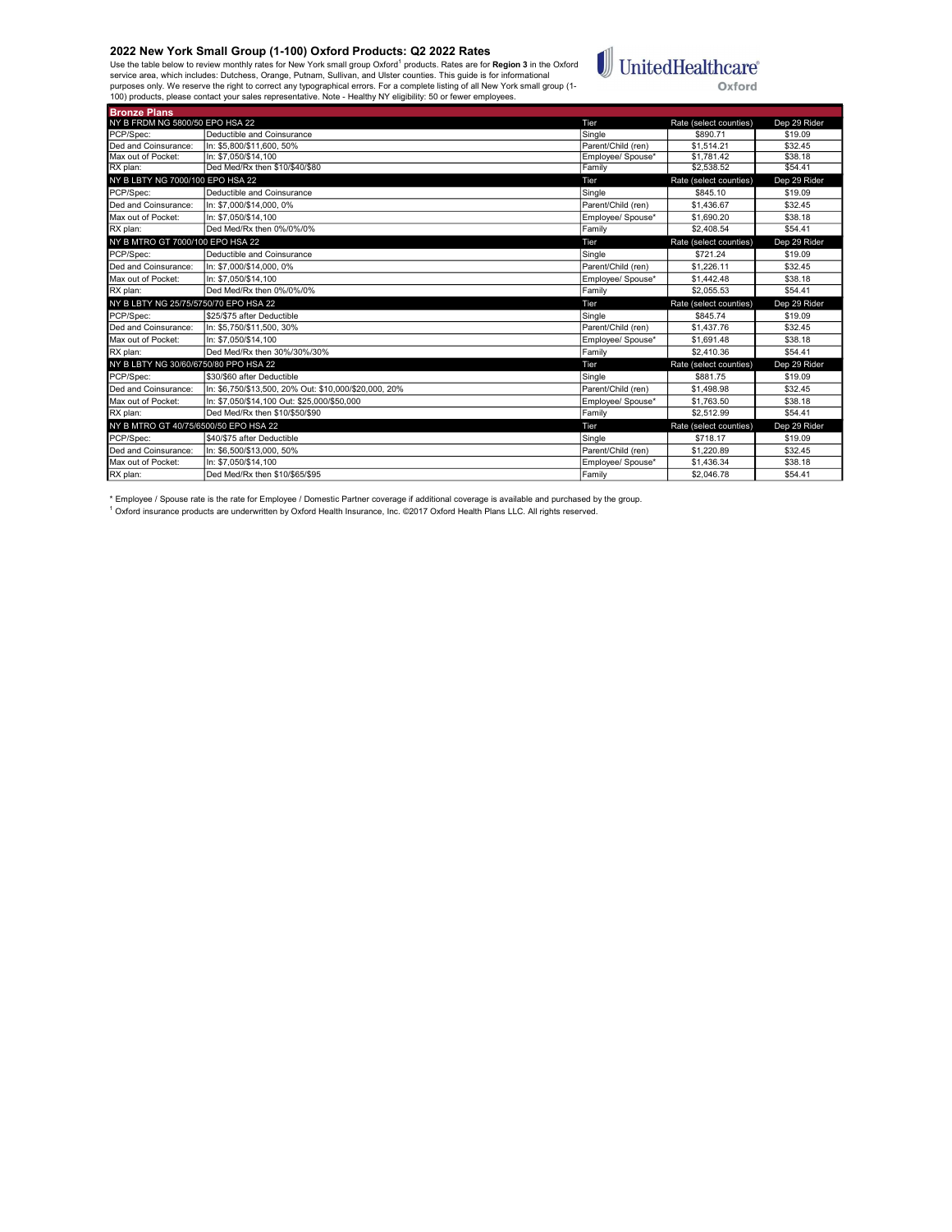Bronze Plans

Use the table below to review monthly rates for New York small group Oxford<sup>1</sup> products. Rates are for **Region 3** in the Oxford<br>service area, which includes: Dutchess, Orange, Putnam, Sullivan, and Ulster counties. This gu



| NY B FRDM NG 5800/50 EPO HSA 22       |                                                       | Tier               | Rate (select counties) | Dep 29 Rider |
|---------------------------------------|-------------------------------------------------------|--------------------|------------------------|--------------|
| PCP/Spec:                             | Deductible and Coinsurance                            | Single             | \$890.71               | \$19.09      |
| Ded and Coinsurance:                  | In: \$5,800/\$11,600, 50%                             | Parent/Child (ren) | \$1,514.21             | \$32.45      |
| Max out of Pocket:                    | In: \$7.050/\$14.100                                  | Employee/ Spouse*  | \$1.781.42             | \$38.18      |
| RX plan:                              | Ded Med/Rx then \$10/\$40/\$80                        | Family             | \$2.538.52             | \$54.41      |
| NY B LBTY NG 7000/100 EPO HSA 22      |                                                       | Tier               | Rate (select counties) | Dep 29 Rider |
| PCP/Spec:                             | Deductible and Coinsurance                            | Single             | \$845.10               | \$19.09      |
| Ded and Coinsurance:                  | In: \$7.000/\$14.000.0%                               | Parent/Child (ren) | \$1,436.67             | \$32.45      |
| Max out of Pocket:                    | In: \$7.050/\$14.100                                  | Employee/ Spouse*  | \$1,690.20             | \$38.18      |
| RX plan:                              | Ded Med/Rx then 0%/0%/0%                              | Family             | \$2,408.54             | \$54.41      |
| NY B MTRO GT 7000/100 EPO HSA 22      |                                                       | Tier               | Rate (select counties) | Dep 29 Rider |
| PCP/Spec:                             | Deductible and Coinsurance                            | Single             | \$721.24               | \$19.09      |
| Ded and Coinsurance:                  | In: \$7,000/\$14,000, 0%                              | Parent/Child (ren) | \$1,226.11             | \$32.45      |
| Max out of Pocket:                    | In: \$7.050/\$14.100                                  | Emplovee/ Spouse*  | \$1,442.48             | \$38.18      |
| RX plan:                              | Ded Med/Rx then 0%/0%/0%                              | Family             | \$2,055.53             | \$54.41      |
|                                       |                                                       |                    |                        |              |
| NY B LBTY NG 25/75/5750/70 EPO HSA 22 |                                                       | Tier               | Rate (select counties) | Dep 29 Rider |
| PCP/Spec:                             | \$25/\$75 after Deductible                            | Single             | \$845.74               | \$19.09      |
| Ded and Coinsurance:                  | In: \$5,750/\$11,500, 30%                             | Parent/Child (ren) | \$1,437.76             | \$32.45      |
| Max out of Pocket:                    | In: \$7.050/\$14.100                                  | Employee/ Spouse*  | \$1,691.48             | \$38.18      |
| RX plan:                              | Ded Med/Rx then 30%/30%/30%                           | Family             | \$2.410.36             | \$54.41      |
| NY B LBTY NG 30/60/6750/80 PPO HSA 22 |                                                       | Tier               | Rate (select counties) | Dep 29 Rider |
| PCP/Spec:                             | \$30/\$60 after Deductible                            | Single             | \$881.75               | \$19.09      |
| Ded and Coinsurance:                  | In: \$6.750/\$13.500. 20% Out: \$10.000/\$20.000. 20% | Parent/Child (ren) | \$1,498.98             | \$32.45      |
| Max out of Pocket:                    | In: \$7,050/\$14,100 Out: \$25,000/\$50,000           | Employee/ Spouse*  | \$1,763.50             | \$38.18      |
| RX plan:                              | Ded Med/Rx then \$10/\$50/\$90                        | Family             | \$2.512.99             | \$54.41      |
| NY B MTRO GT 40/75/6500/50 EPO HSA 22 |                                                       | Tier               | Rate (select counties) | Dep 29 Rider |
| PCP/Spec:                             | \$40/\$75 after Deductible                            | Single             | \$718.17               | \$19.09      |
| Ded and Coinsurance:                  | In: \$6,500/\$13,000, 50%                             | Parent/Child (ren) | \$1,220.89             | \$32.45      |
| Max out of Pocket:                    | In: \$7.050/\$14.100                                  | Employee/ Spouse*  | \$1,436.34             | \$38.18      |

\* Employee / Spouse rate is the rate for Employee / Domestic Partner coverage if additional coverage is available and purchased by the group.<br><sup>1</sup> Oxford insurance products are underwritten by Oxford Health Insurance, Inc.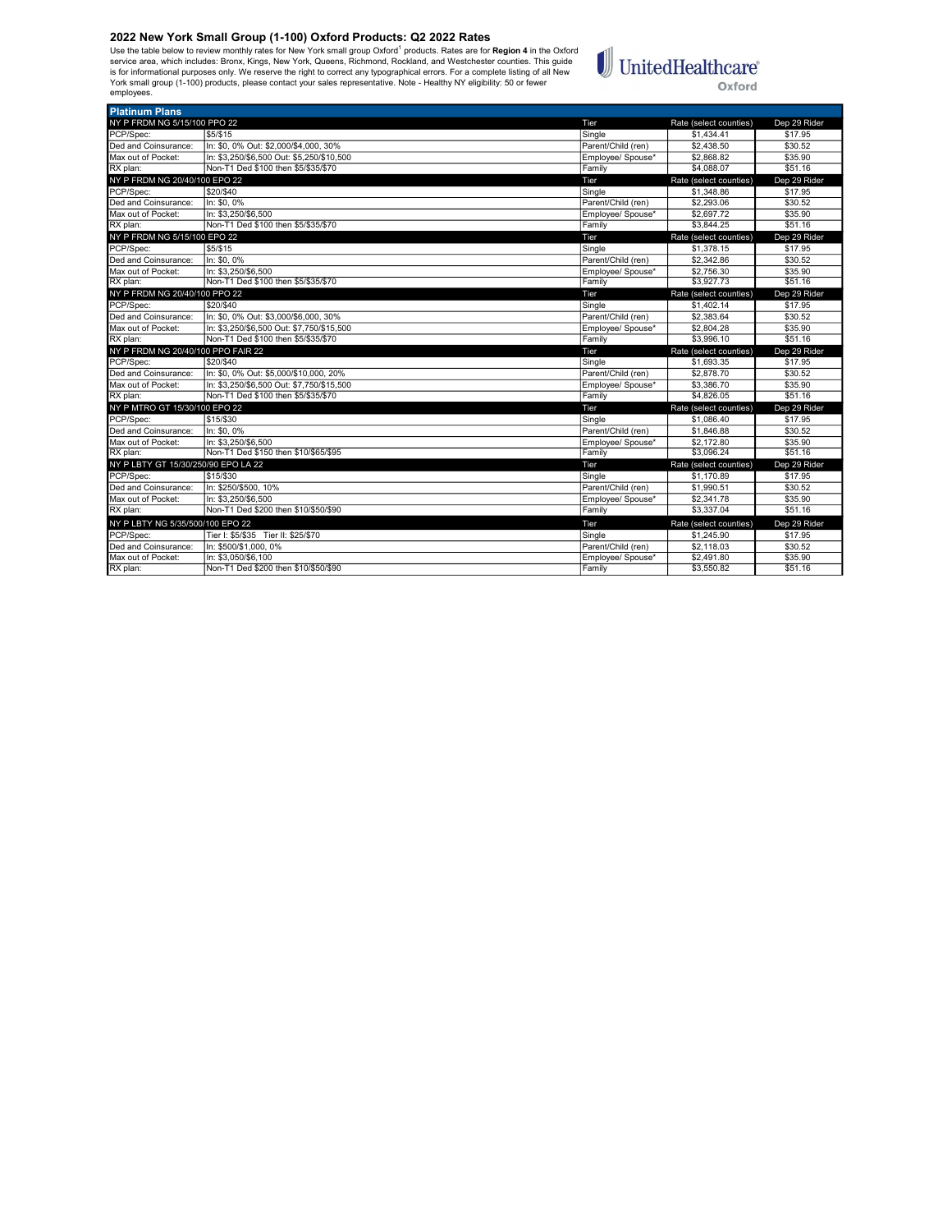Use the table below to review monthly rates for New York small group Oxford<sup>1</sup> products. Rates are for **Region 4** in the Oxford<br>is rorice area, which includes: Bronx, Kings, New York, Queens, Richmond, Rockland, and Westch employees.



| <b>Platinum Plans</b>               |                                                              |                    |                        |              |
|-------------------------------------|--------------------------------------------------------------|--------------------|------------------------|--------------|
| NY P FRDM NG 5/15/100 PPO 22        |                                                              | Tier               | Rate (select counties) | Dep 29 Rider |
| PCP/Spec:                           | \$5/\$15                                                     | Single             | \$1,434.41             | \$17.95      |
| Ded and Coinsurance:                | In: \$0, 0% Out: \$2,000/\$4,000, 30%                        | Parent/Child (ren) | \$2,438.50             | \$30.52      |
| Max out of Pocket:                  | In: \$3.250/\$6.500 Out: \$5.250/\$10.500                    | Employee/ Spouse*  | \$2,868.82             | \$35.90      |
| RX plan:                            | Non-T1 Ded \$100 then \$5/\$35/\$70                          | Family             | \$4,088.07             | \$51.16      |
| NY P FRDM NG 20/40/100 EPO 22       |                                                              | Tier               | Rate (select counties) | Dep 29 Rider |
| PCP/Spec:                           | \$20/\$40                                                    | Single             | \$1,348.86             | \$17.95      |
| Ded and Coinsurance:                | In: \$0, 0%                                                  | Parent/Child (ren) | \$2,293.06             | \$30.52      |
| Max out of Pocket:                  | In: \$3,250/\$6,500                                          | Employee/ Spouse*  | \$2,697.72             | \$35.90      |
| RX plan:                            | Non-T1 Ded \$100 then \$5/\$35/\$70                          | Family             | \$3,844.25             | \$51.16      |
| NY P FRDM NG 5/15/100 EPO 22        |                                                              | Tier               | Rate (select counties) | Dep 29 Rider |
| PCP/Spec:                           | \$5/\$15                                                     | Single             | \$1,378.15             | \$17.95      |
| Ded and Coinsurance:                | In: \$0.0%                                                   | Parent/Child (ren) | \$2,342.86             | \$30.52      |
| Max out of Pocket:                  | In: \$3,250/\$6,500                                          | Employee/ Spouse*  | \$2,756.30             | \$35.90      |
| RX plan:                            | Non-T1 Ded \$100 then \$5/\$35/\$70                          | Family             | \$3,927.73             | \$51.16      |
| NY P FRDM NG 20/40/100 PPO 22       |                                                              | Tier               | Rate (select counties) | Dep 29 Rider |
| PCP/Spec:                           | \$20/\$40                                                    | Single             | \$1,402.14             | \$17.95      |
| Ded and Coinsurance:                | In: \$0, 0% Out: \$3,000/\$6,000, 30%                        | Parent/Child (ren) | \$2,383.64             | \$30.52      |
| Max out of Pocket:                  | In: \$3.250/\$6.500 Out: \$7.750/\$15.500                    | Employee/ Spouse*  | \$2,804.28             | \$35.90      |
| RX plan:                            | Non-T1 Ded \$100 then \$5/\$35/\$70                          | Family             | \$3,996.10             | \$51.16      |
|                                     |                                                              |                    |                        |              |
| NY P FRDM NG 20/40/100 PPO FAIR 22  |                                                              | Tier               | Rate (select counties) | Dep 29 Rider |
| PCP/Spec:                           | \$20/\$40                                                    | Single             | \$1,693.35             | \$17.95      |
| Ded and Coinsurance:                | In: \$0.0% Out: \$5.000/\$10.000. 20%                        | Parent/Child (ren) | \$2,878.70             | \$30.52      |
| Max out of Pocket:                  | In: \$3.250/\$6.500 Out: \$7.750/\$15.500                    | Employee/ Spouse*  | \$3,386.70             | \$35.90      |
| RX plan:                            | Non-T1 Ded \$100 then \$5/\$35/\$70                          | Family             | \$4,826.05             | \$51.16      |
| NY P MTRO GT 15/30/100 EPO 22       |                                                              | Tier               | Rate (select counties) | Dep 29 Rider |
| PCP/Spec:                           | \$15/\$30                                                    | Single             | \$1,086.40             | \$17.95      |
| Ded and Coinsurance:                | In: \$0.0%                                                   | Parent/Child (ren) | \$1,846.88             | \$30.52      |
| Max out of Pocket:                  | In: \$3.250/\$6.500                                          | Employee/ Spouse*  | \$2,172.80             | \$35.90      |
| RX plan:                            | Non-T1 Ded \$150 then \$10/\$65/\$95                         | Family             | \$3.096.24             | \$51.16      |
| NY P LBTY GT 15/30/250/90 EPO LA 22 |                                                              | Tier               | Rate (select counties) | Dep 29 Rider |
| PCP/Spec:                           | \$15/\$30                                                    | Single             | \$1,170.89             | \$17.95      |
| Ded and Coinsurance:                | In: \$250/\$500, 10%                                         | Parent/Child (ren) | \$1,990.51             | \$30.52      |
| Max out of Pocket:                  | In: \$3.250/\$6.500                                          | Employee/ Spouse*  | \$2,341.78             | \$35.90      |
| RX plan:                            | Non-T1 Ded \$200 then \$10/\$50/\$90                         | Family             | \$3,337.04             | \$51.16      |
| NY P LBTY NG 5/35/500/100 EPO 22    |                                                              | Tier               | Rate (select counties) | Dep 29 Rider |
| PCP/Spec:                           |                                                              | Single             | \$1,245.90             | \$17.95      |
| Ded and Coinsurance:                | Tier I: \$5/\$35 Tier II: \$25/\$70<br>In: \$500/\$1,000, 0% | Parent/Child (ren) | \$2,118.03             | \$30.52      |
| Max out of Pocket:                  | In: \$3.050/\$6.100                                          | Employee/ Spouse*  | \$2,491.80             | \$35.90      |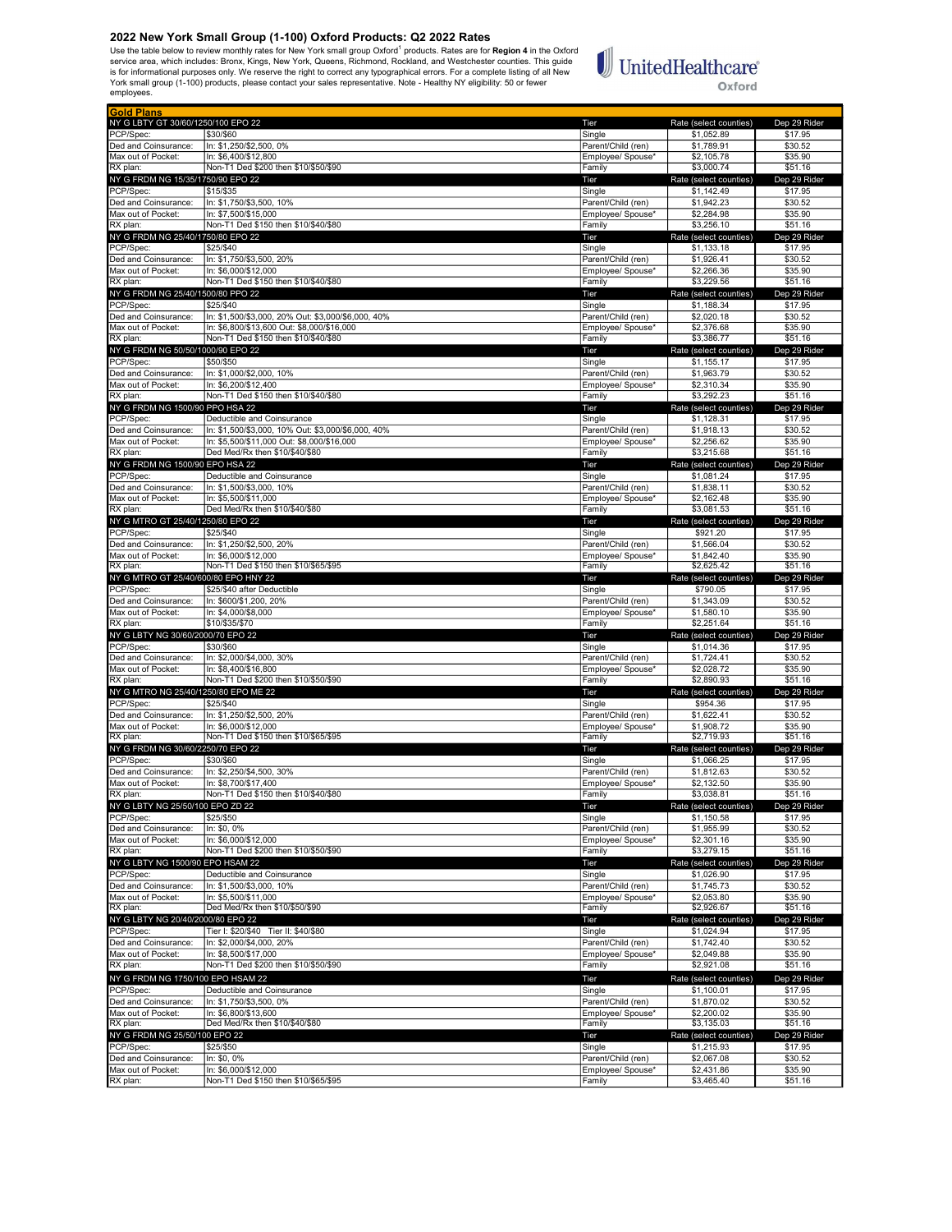Use the table below to review monthly rates for New York small group Oxford<sup>1</sup> products. Rates are for **Region 4** in the Oxford<br>is rorice area, which includes: Bronx, Kings, New York, Queens, Richmond, Rockland, and Westch employees.

# $\mathbb{U}$ United<br>Healthcare® Oxford

| <b>Gold Plans</b><br>NY G LBTY GT 30/60/1250/100 EPO 22 |                                                    |                    |                        |              |
|---------------------------------------------------------|----------------------------------------------------|--------------------|------------------------|--------------|
|                                                         |                                                    | Tier               | Rate (select counties) | Dep 29 Rider |
| PCP/Spec:                                               | \$30/\$60                                          | Single             | \$1,052.89             | \$17.95      |
| Ded and Coinsurance:                                    | In: \$1,250/\$2,500, 0%                            | Parent/Child (ren) | \$1,789.91             | \$30.52      |
| Max out of Pocket:                                      | In: \$6,400/\$12,800                               | Employee/ Spouse*  | \$2,105.78             | \$35.90      |
| RX plan:                                                | Non-T1 Ded \$200 then \$10/\$50/\$90               | Family             | \$3,000.74             | \$51.16      |
| NY G FRDM NG 15/35/1750/90 EPO 22                       |                                                    | Tier               | Rate (select counties) | Dep 29 Rider |
| PCP/Spec:                                               | \$15/\$35                                          | Single             | \$1,142.49             | \$17.95      |
| Ded and Coinsurance:                                    | In: \$1,750/\$3,500, 10%                           | Parent/Child (ren) | \$1,942.23             | \$30.52      |
|                                                         |                                                    |                    | \$2,284.98             |              |
| Max out of Pocket:                                      | In: \$7,500/\$15,000                               | Employee/ Spouse*  |                        | \$35.90      |
| RX plan:                                                | Non-T1 Ded \$150 then \$10/\$40/\$80               | Family             | \$3,256.10             | \$51.16      |
| NY G FRDM NG 25/40/1750/80 EPO 22                       |                                                    | Tier               | Rate (select counties) | Dep 29 Rider |
| PCP/Spec:                                               | \$25/\$40                                          | Single             | \$1,133.18             | \$17.95      |
| Ded and Coinsurance:                                    | In: \$1,750/\$3,500, 20%                           | Parent/Child (ren) | \$1,926.41             | \$30.52      |
| Max out of Pocket:                                      | In: \$6,000/\$12,000                               | Employee/ Spouse*  | \$2,266.36             | \$35.90      |
| RX plan:                                                | Non-T1 Ded \$150 then \$10/\$40/\$80               | Family             | \$3,229.56             | \$51.16      |
| NY G FRDM NG 25/40/1500/80 PPO 22                       |                                                    |                    |                        | Dep 29 Rider |
|                                                         |                                                    | Tier               | Rate (select counties) |              |
| PCP/Spec:                                               | \$25/\$40                                          | Single             | \$1,188.34             | \$17.95      |
| Ded and Coinsurance:                                    | In: \$1,500/\$3,000, 20% Out: \$3,000/\$6,000, 40% | Parent/Child (ren) | \$2,020.18             | \$30.52      |
| Max out of Pocket:                                      | In: \$6,800/\$13,600 Out: \$8,000/\$16,000         | Employee/ Spouse*  | \$2,376.68             | \$35.90      |
| RX plan:                                                | Non-T1 Ded \$150 then \$10/\$40/\$80               | Family             | \$3,386.77             | \$51.16      |
| NY G FRDM NG 50/50/1000/90 EPO 22                       |                                                    | Tier               | Rate (select counties) | Dep 29 Rider |
| PCP/Spec:                                               | \$50/\$50                                          | Single             | \$1,155.17             | \$17.95      |
| Ded and Coinsurance:                                    | In: \$1,000/\$2,000, 10%                           | Parent/Child (ren) | \$1,963.79             | \$30.52      |
|                                                         |                                                    |                    |                        |              |
| Max out of Pocket:                                      | In: \$6,200/\$12,400                               | Employee/ Spouse*  | \$2,310.34             | \$35.90      |
| RX plan:                                                | Non-T1 Ded \$150 then \$10/\$40/\$80               | Family             | \$3,292.23             | \$51.16      |
| NY G FRDM NG 1500/90 PPO HSA 22                         |                                                    | Tier               | Rate (select counties) | Dep 29 Rider |
| PCP/Spec:                                               | Deductible and Coinsurance                         | Single             | \$1,128.31             | \$17.95      |
| Ded and Coinsurance:                                    | In: \$1,500/\$3,000, 10% Out: \$3,000/\$6,000, 40% | Parent/Child (ren) | \$1,918.13             | \$30.52      |
| Max out of Pocket:                                      | In: \$5,500/\$11,000 Out: \$8,000/\$16,000         | Employee/ Spouse*  | \$2,256.62             | \$35.90      |
| RX plan:                                                | Ded Med/Rx then \$10/\$40/\$80                     | Family             | \$3,215.68             | \$51.16      |
|                                                         |                                                    |                    |                        |              |
| NY G FRDM NG 1500/90 EPO HSA 22                         |                                                    | Tier               | Rate (select counties) | Dep 29 Rider |
| PCP/Spec:                                               | Deductible and Coinsurance                         | Single             | \$1,081.24             | \$17.95      |
| Ded and Coinsurance:                                    | In: \$1,500/\$3,000, 10%                           | Parent/Child (ren) | \$1,838.11             | \$30.52      |
| Max out of Pocket:                                      | In: \$5,500/\$11,000                               | Employee/ Spouse*  | \$2,162.48             | \$35.90      |
| RX plan:                                                | Ded Med/Rx then \$10/\$40/\$80                     | Family             | \$3,081.53             | \$51.16      |
| NY G MTRO GT 25/40/1250/80 EPO 22                       |                                                    | Tier               | Rate (select counties) | Dep 29 Rider |
| PCP/Spec:                                               | \$25/\$40                                          | Single             | \$921.20               | \$17.95      |
|                                                         |                                                    |                    | \$1,566.04             | \$30.52      |
| Ded and Coinsurance:                                    | In: \$1,250/\$2,500, 20%                           | Parent/Child (ren) |                        |              |
| Max out of Pocket:                                      | In: \$6,000/\$12,000                               | Employee/ Spouse*  | \$1,842.40             | \$35.90      |
| RX plan:                                                | Non-T1 Ded \$150 then \$10/\$65/\$95               | Family             | \$2,625.42             | \$51.16      |
| NY G MTRO GT 25/40/600/80 EPO HNY 22                    |                                                    | Tier               | Rate (select counties) | Dep 29 Rider |
| PCP/Spec:                                               | \$25/\$40 after Deductible                         | Single             | \$790.05               | \$17.95      |
| Ded and Coinsurance:                                    | In: \$600/\$1,200, 20%                             | Parent/Child (ren) | \$1,343.09             | \$30.52      |
| Max out of Pocket:                                      | In: \$4,000/\$8,000                                | Employee/ Spouse*  | \$1,580.10             | \$35.90      |
| RX plan:                                                | \$10/\$35/\$70                                     | Family             | \$2,251.64             | \$51.16      |
| NY G LBTY NG 30/60/2000/70 EPO 22                       |                                                    |                    |                        |              |
|                                                         |                                                    | Tier               | Rate (select counties) | Dep 29 Rider |
| PCP/Spec:                                               | \$30/\$60                                          | Single             | \$1,014.36             | \$17.95      |
| Ded and Coinsurance:                                    | In: \$2,000/\$4,000, 30%                           | Parent/Child (ren) | \$1,724.41             | \$30.52      |
| Max out of Pocket:                                      | In: \$8,400/\$16,800                               | Employee/ Spouse*  | \$2,028.72             | \$35.90      |
| RX plan:                                                | Non-T1 Ded \$200 then \$10/\$50/\$90               | Family             | \$2,890.93             | \$51.16      |
| NY G MTRO NG 25/40/1250/80 EPO ME 22                    |                                                    | Tier               | Rate (select counties) | Dep 29 Rider |
| PCP/Spec:                                               | \$25/\$40                                          | Single             | \$954.36               | \$17.95      |
| Ded and Coinsurance:                                    | In: \$1,250/\$2,500, 20%                           | Parent/Child (ren) | \$1,622.41             | \$30.52      |
|                                                         |                                                    |                    |                        |              |
| Max out of Pocket:                                      | In: \$6,000/\$12,000                               | Employee/ Spouse*  | \$1,908.72             | \$35.90      |
| RX plan:                                                | Non-T1 Ded \$150 then \$10/\$65/\$95               | Family             | \$2,719.93             | \$51.16      |
| NY G FRDM NG 30/60/2250/70 EPO 22                       |                                                    | Tier               | Rate (select counties) | Dep 29 Rider |
| PCP/Spec:                                               | \$30/\$60                                          | Single             | \$1,066.25             | \$17.95      |
| Ded and Coinsurance:                                    | In: \$2,250/\$4,500, 30%                           | Parent/Child (ren) | \$1,812.63             | \$30.52      |
| Max out of Pocket:                                      | In: \$8,700/\$17,400                               | Employee/ Spouse*  | \$2,132.50             | \$35.90      |
| RX plan:                                                | Non-T1 Ded \$150 then \$10/\$40/\$80               | Family             | \$3,038.81             | \$51.16      |
| NY G LBTY NG 25/50/100 EPO ZD 22                        |                                                    |                    | Rate (select countil   | Jen 29 Rio   |
| PCP/Spec:                                               |                                                    |                    |                        |              |
|                                                         | \$25/\$50                                          | Single             | \$1,150.58             | \$17.95      |
| Ded and Coinsurance:                                    | In: \$0, 0%                                        | Parent/Child (ren) | \$1,955.99             | \$30.52      |
| Max out of Pocket:                                      | In: \$6.000/\$12.000                               | Employee/ Spouse*  | \$2,301.16             | \$35.90      |
| RX plan:                                                | Non-T1 Ded \$200 then \$10/\$50/\$90               | Family             | \$3,279.15             | \$51.16      |
| NY G LBTY NG 1500/90 EPO HSAM 22                        |                                                    | Tier               | Rate (select counties) | Dep 29 Rider |
| PCP/Spec:                                               | Deductible and Coinsurance                         | Single             | \$1,026.90             | \$17.95      |
| Ded and Coinsurance:                                    | In: \$1,500/\$3,000, 10%                           | Parent/Child (ren) | \$1,745.73             | \$30.52      |
| Max out of Pocket:                                      | In: \$5.500/\$11.000                               | Emplovee/ Spouse*  |                        |              |
| RX plan:                                                |                                                    |                    | \$2,053.80             | \$35.90      |
|                                                         | Ded Med/Rx then \$10/\$50/\$90                     | Family             | \$2,926.67             | \$51.16      |
| NY G LBTY NG 20/40/2000/80 EPO 22                       |                                                    | Tier               | Rate (select counties) | Dep 29 Rider |
| PCP/Spec:                                               | Tier I: \$20/\$40 Tier II: \$40/\$80               | Single             | \$1,024.94             | \$17.95      |
| Ded and Coinsurance:                                    | In: \$2,000/\$4,000, 20%                           | Parent/Child (ren) | \$1,742.40             | \$30.52      |
| Max out of Pocket:                                      | In: \$8,500/\$17,000                               | Employee/ Spouse*  | \$2,049.88             | \$35.90      |
| RX plan:                                                | Non-T1 Ded \$200 then \$10/\$50/\$90               | Family             | \$2,921.08             | \$51.16      |
|                                                         |                                                    |                    |                        |              |
| NY G FRDM NG 1750/100 EPO HSAM 22                       |                                                    | Tier               | Rate (select counties) | Dep 29 Rider |
| PCP/Spec:                                               | Deductible and Coinsurance                         | Single             | \$1,100.01             | \$17.95      |
| Ded and Coinsurance:                                    | In: \$1,750/\$3,500, 0%                            | Parent/Child (ren) | \$1,870.02             | \$30.52      |
| Max out of Pocket:                                      | In: \$6,800/\$13,600                               | Employee/ Spouse*  | \$2,200.02             | \$35.90      |
| RX plan:                                                | Ded Med/Rx then \$10/\$40/\$80                     | Family             | \$3,135.03             | \$51.16      |
| NY G FRDM NG 25/50/100 EPO 22                           |                                                    | Tier               | Rate (select counties) | Dep 29 Rider |
| PCP/Spec:                                               |                                                    |                    |                        |              |
|                                                         | \$25/\$50                                          | Single             | \$1,215.93             | \$17.95      |
| Ded and Coinsurance:                                    | In: \$0, 0%                                        | Parent/Child (ren) | \$2,067.08             | \$30.52      |
| Max out of Pocket:                                      | In: \$6,000/\$12,000                               | Employee/ Spouse*  | \$2,431.86             | \$35.90      |
| RX plan:                                                | Non-T1 Ded \$150 then \$10/\$65/\$95               | Family             | \$3,465.40             | \$51.16      |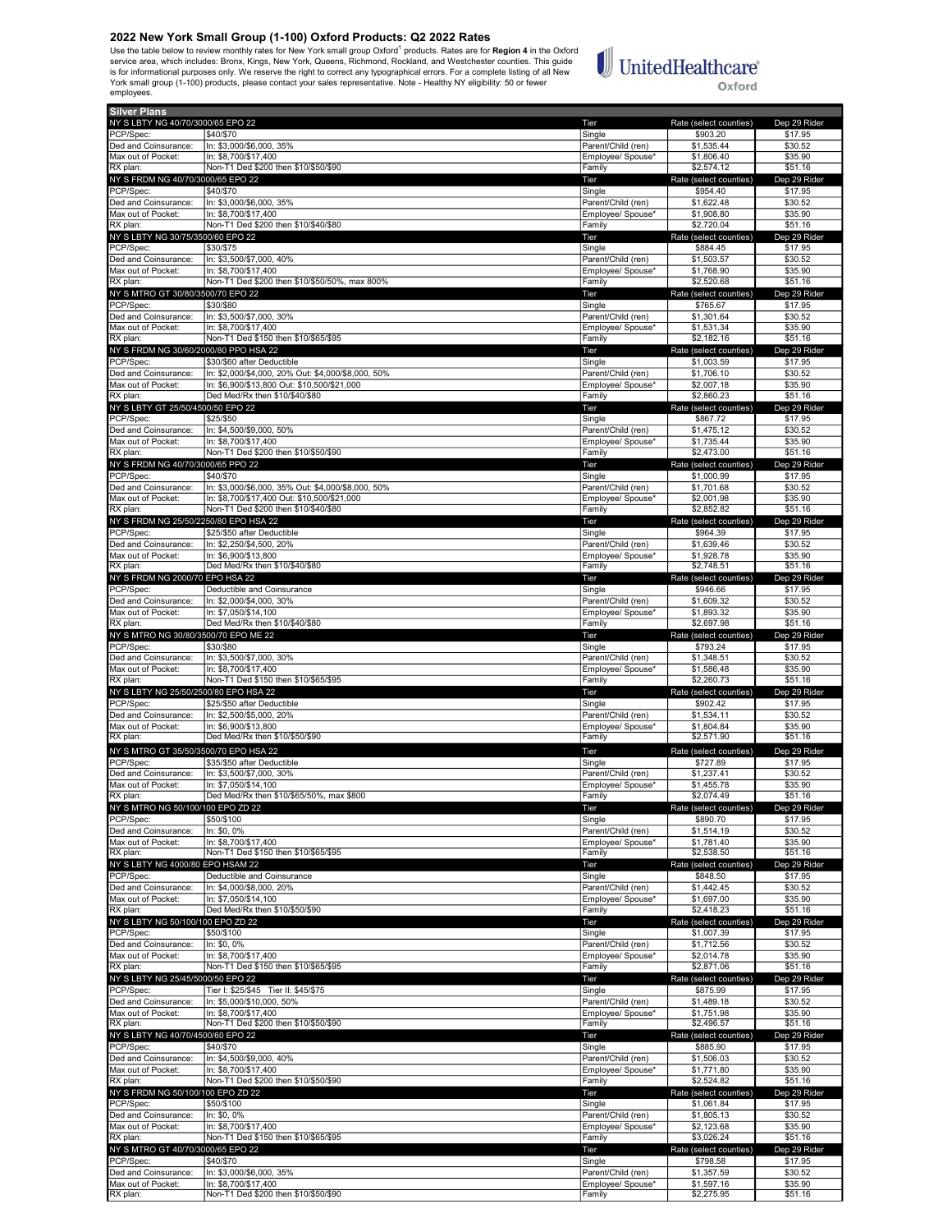Use the table below to review monthly rates for New York small group Oxford<sup>1</sup> products. Rates are for Region 4 in the Oxford service area, which includes: Bronx, Kings, New York, Queens, Richmond, Rockland, and Westchester counties. This guide is for informational purposes only. We reserve the right to correct any typographical errors. For a complete listing of all New<br>York small group (1-100) products, please contact your sales representative. Note - Healthy NY employees.

## **UnitedHealthcare**® Oxford

Silver Plans NY SLBTY NG 40/70/3000/65 EPO 22 **The Rate (select counties)** Dep 29 Ride PCP/Spec: \$40/\$70 Single \$903.20 \$17.95 Ded and Coinsurance:  $\vert$  In: \$3,000/\$6,000, 35% Parent/Child (ren) \$1,535.44 \$30.52 Max out of Pocket: In: \$8,700/\$17,400 **Employee/ Spouse\* \$1,806.40** \$35.90 RX plan: Non-T1 Ded \$200 then \$10/\$50/\$90 Family \$2,574.12 \$51.16 NY S FRDM NG 40/70/3000/65 EPO 22 Tier Rate (select counties) Dep 29 Rider PCP/Spec: \$40/\$70 Single \$954.40 \$17.95 Ded and Coinsurance: In: \$3,000/\$6,000, 35% **Parent/Child (ren)** \$1,622.48 \$30.52 Max out of Pocket: In: \$8,700/\$17,400<br>
Max out of Pocket: In: \$8,700/\$17,400<br>
RX plan: S2,720.04 \$51.16<br>
RX plan: \$2,720.04 \$51.16 Richary Robert Planet \$10/\$40/\$80<br>500/60 Family \$200 then \$10/\$40/\$80. NY SLBTY NG 30/75/3500/60 EPO 22 **Tier** Rate (select counties) Dep 29 Ri PCP/Spec: \$30/\$75 \$17.95 \$17.95 \$17.95 \$17.95 \$17.95 \$17.95 \$17.95 \$17.95 \$17.95 \$17.95 Ded and Coinsurance: In: \$3,500/\$7,000, 40% Parent/Child (ren) \$1,503.57 \$30.52<br>Max out of Pocket: In: \$8,700/\$17,400 \$35.90 \$35.90 \$35.90 Max out of Pocket: In: \$8,700/\$17,400<br>RX plan: Non-T1 Ded \$200 then \$10/\$50/50% max 800% examine the state of the state of the state of the state of<br>RX plan: \$2,520.68 \$51.16 RX plan: Non-T1 Ded \$200 then \$10/\$50/50%, max 800% Family Family \$2,520.68 \$51.16<br>
RX plan: RX plan: S2,520.68 \$51.16<br>
NY S MTRO GT 30/80/3500/70 EPO 22 Rid NY S MTRO GT 30/80/3500/70 EPO 22 Tier Rate (select counties) Dep 29 Rider PCP/Spec: \$30/\$80 Single \$765.67 \$17.95 Ded and Coinsurance: In: \$3,500/\$7,000, 30% Parent/Child (ren) \$1,301.64 \$30.52 Max out of Pocket: In: \$8,700/\$17,400<br>RX plan: Non-T1 Ded \$150 then \$10/\$65/\$95 Family \$2,182.16 \$51.16 \$51.16 NY S FRDM NG 30/60/2000/80 PPO HSA 22 **Tier** Rate (select counties) Dep 29 Rider PCP/Spec: \$30/\$60 after Deductible \$1,003.59 \$17.95<br>Ded and Coinsurance: In: \$2,000/\$4,000, 20% Out: \$4,000/\$8,000, 50% \$17.95 \$1,706 perent/Child (ren) \$1,706.10 Ded and Coinsurance: In: \$2,000/\$4,000, 20% Out: \$4,000/\$8,000, 50% Parent/Child (ren) \$1,706.10 \$30.52<br>Max out of Pocket: In: \$6,900/\$13,800 Out: \$10,500/\$21,000 Max out of Pocket: In: \$6,900/\$13,800 Out: \$10,500/\$21,000 Publishing the Max out of Pocket: In: \$6,900/\$13,800<br>RX plan: Ded Med/Rx then \$10/\$40/\$80 Publishing the State of State of State of State of State of State of Stat <u>RX 23,860,918,866</u>.231.1610,000<br>Ded Med/Rx then \$10/\$40/\$80 NY S LBTY GT 25/50/4500/50 EPO 22 Tier Rate (select counties) Dep 29 Rider PCP/Spec: \$25/\$50 Single \$867.72 \$17.95 Ded and Coinsurance: In: \$4,500/\$9,000, 50% Parent/Child (ren) \$1,475.12 \$30.52<br>Max out of Pocket: In: \$8,700/\$17,400 **Parent/Child (ren)** \$1,735.44 \$35.90 Max out of Pocket: In: \$8,700/\$17,400 **Employee/ Spouse\* \$1,735.44** \$35.90 ных основа, на селото на селото в селото на селото на селото на селото на селото на селото на селото на селото<br>Предпорти в 100п-Т1 Ded \$200 then \$10/\$50/\$90 Family \$2,473.00 \$51.16 \$51.16 Family \$2,473.00 \$51.16 NY S FRDM NG 40/70/3000/65 PPO 22 Nicolae State (select counties) Dep 29 Richards Dep 29 Richards Dep 29 Richards Dep 29 Richards Dep 29 Richards Dep 29 Richards State (select counties) Dep 29 Richards State (select counti PCP/Spec: \$40/\$70 \$17.95 \$10.99 \$17.95 \$17.95 \$17.95 \$17.95 \$17.95 \$17.95 \$17.95 \$17.95 \$17.95 \$17.95 Ded and Coinsurance: In: \$3,000/\$6,000, 35% Out: \$4,000/\$8,000, 50% Parent/Child (ren) \$1,701.68 \$30.52 Max out of Pocket: In: \$8,700/\$17,400 Out: \$10,500/\$21,000 Publishing the Max out of Pocket: In: \$3,700/\$17,400<br>RX plan: Tamily \$2,852.82 \$51.16 \$200 then \$10/\$40/\$80 Publishing the Max of Tamily \$2,852.82 \$51.16 RX plan: Non-T1 Ded \$200 then \$10/\$40/\$80<br>NY S FRDM NG 25/50/2250/80 EPO HSA 22 **Family \$2,852.82** Fier Rate (select country the Rate (select country the Rate (select country) ny North Control of the Control of the Control of the Control of the Control of the Control of the Control of the Control of the Control of the Control of the Control of the Control of the Control of the Control of the Co PCP/Spec: \$25/\$50 after Deductible \$964.39 \$17.95 Ded and Coinsurance: In: \$2,250/\$4,500, 20% Parent/Child (ren) \$1,639.46 \$30.52 Max out of Pocket: In: \$6,900/\$13,800 **Employee/ Spouse\* \$1,928.78** \$35.90 RX plan: Ded Med/Rx then \$10/\$40/\$80 Family \$2,748.51 \$51.16 NY S FRDM NG 2000/70 EPO HSA 22 Tier Rate (select counties) Dep 29 Rider PCP/Spec: **Deductible and Coinsurance** Single **Single Single Single \$946.66** \$17.95 Ded and Coinsurance: In: \$2,000/\$4,000, 30% **Parent/Child (ren)** \$1,609.32 \$30.52 \$30.52 Max out of Pocket: In: \$7,050/\$14,100 **Employee/ Spouse\* \$1,893.32** \$35.90 RX plan: Ded Med/Rx then \$10/\$40/\$80 Family \$2,697.98 \$51.16 NY S MTRO NG 30/80/3500/70 EPO ME 22 No. 2012 | The Terminal State (select counties) Dep 29 Rider Rate (select counties) Dep 29 Rid<br>PCP/Spec: | | \$30/\$80 | \$17.95 | \$17.95 | \$17.95 | \$17.95 | \$17.95 | \$17.95 | \$17.95 PCP/Spec: \$30/\$80 \$17.95 \$17.95 \$17.95 \$17.95 \$17.95 \$17.95 \$17.95 \$17.95 \$17.95 \$17.95 \$17.95 \$17.95 Ded and Coinsurance: |In: \$3,500/\$7,000, 30% Parent/Child (ren) \$1,348.51 \$30.52<br>Max out of Pocket: |In: \$8,700/\$17,400 Parent/Child (ren) \$1,586.48 \$35.90 Max out of Pocket: In: \$8,700/\$17,400 **Employee/ Spouse\* \$1,586.48** \$35.90 Max care in the section of the section of the section of the section of the section of the section of the section of the section of the section of the section of the section of the section of the section of the section of NY S LBTY NG 25/50/2500/80 EPO HSA 22 Tier Rate (select counties) Dep 29 Rider PCP/Spec: \$25/\$50 after Deductible \$902.42 \$17.95 Ded and Coinsurance: In: \$2,500/\$5,000, 20% Parent/Child (ren) \$1,534.11 \$30.52<br>Max out of Pocket: In: \$6,900/\$13,800 Max out of Pocket: In: \$6,900/\$13,800 Employee/ Spouse\* \$1,804.84 \$35.90 <u>R. Co, 550/4 15,555</u><br>Ded Med/Rx then \$10/\$50/\$90 NY S MTRO GT 35/50/3500/70 EPO HSA 22<br>
NY S MTRO GT 35/50/3500/70 EPO HSA 22 Tier Rate (select counties) Dep 29 Rider<br>
PCP/Spec: State (select counties) State of the State of State of State of State State State State State PCP/Spec: \$35/\$50 after Deductible \$17.95 \$17.95 Ded and Coinsurance: In: \$3,500/\$7,000, 30% Parent/Child (ren) \$1,237.41 \$30.52 Max out of Pocket: In: \$7,050/\$14,100 **Employee/ Spouse\* \$1,455.78** \$35.90 RX plan: Ded Med/Rx then \$10/\$65/50%, max \$800 Family Family \$2,074.49 \$51.16 NY S MTRO NG 50/100/100 EPO ZD 22 CHE COUNTER THE Rate (select counties) Dep 29 Richard Rate (select counties) Dep 29 Richard Rate (select counties) Dep 29 Richard S50/3100 PCP/Spec: \$50/\$100 \$17.95 \$190.70 \$17.95 \$17.95 Ded and Coinsurance: In: \$0, 0% Parent/Child (ren) \$1,514.19 \$30.52 Max out of Pocket: In: \$8,700/\$17,400 Employee/ Spouse\* \$1,781.40 \$35.90 RX plan: Non-T1 Ded \$150 then \$10/\$65/\$95 Family Family \$2,538.50 S51.16<br>
RX plan: Non-T1 Ded \$150 then \$10/\$65/\$95 Family \$2,538.50 \$51.16<br>
NY SLBTY NG 4000/80 EPO HSAM 22 Tier Rate (select counties) Dep 29 Ri NY S LBTY NG 4000/80 EPO HSAM 22 Tier Rate (select counties) Dep 29 Rider PCP/Spec: Deductible and Coinsurance Single \$848.50 \$17.95 0ed and Coinsurance: |In: \$4,000/\$8,000, 20% Parent/Child (ren) \$1,442.45 \$30.52<br>Aax out of Pocket: |In: \$7,050/\$14,100 \$35.90 Max out of Pocket: In: \$7,050/\$14,100 \$35.90<br>RX plan: Ded Med/Rx then \$10/\$50/\$90 \$25.90 Expouse and Family \$2,418.23 \$51.16 ration and the context of the CHO and Tamily the CHO and the CHO and the CHO and the CHO and the CHO and the CHO and the CHO and the CHO and the CHO and the CHO and the CHO and the CHO and the CHO and the CHO and the CHO a NY S LBTY NG 50/100/100 EPO ZD 22 Tier Rate (select counties) Dep 29 Rider PCP/Spec: \$50/\$100 \$17.95 \$17.95 \$17.95 \$17.95 \$17.95 \$17.95 \$17.95 \$17.95 \$17.95 Ded and Coinsurance: In: \$0, 0% Parent/Child (ren) \$1,712.56 \$30.52 Max out of Pocket: In: \$8,700/\$17,400 **Employee/ Spouse\* \$2,014.78** \$35.90 RX plan: Non-T1 Ded \$150 then \$10/\$65/\$95 Family \$2,871.06 \$51.16 \$2,871.06 \$51.16 \$1.16<br>NY SLBTY NG 25/45/5000/50 EPO 22 Family \$2,871.06 \$51.16 Family \$2,871.06 \$51.16 NY SLBTY NG 25/45/5000/50 EPO 22 CHE COUNTER THE RATE (Select counties) Dep 29 Rider Rate (select counties) Dep 29 Rid PCP/Spec: Tier I: \$25/\$45 Tier II: \$45/\$75 Single Single \$875.99 \$17.95<br>Ped and Coinsurance: In: \$5,000/\$10,000, 50% State \$80.52 Parent/Child (ren) \$1,489.18 \$30.52 In: \$5,000/\$10,000, 50% Max out of Pocket: In: \$8,700/\$17,400<br>RX plan: Non-T1 Ded \$200 then \$10/\$50/\$90 **Employee/ Spouse\* \$1,751.98** \$35.90<br>Employee/ Spouse\* \$1,751.98 \$2,496.57 \$51.16 Roof-T1 Ded \$200 then \$10/\$50/\$90<br>
Reference to the state of the state of the state of the state of the state of the state (select counties) S2,496.57 \$51.16<br>
Rate (select counties) Dep 29 Ric NY SLETY NG 40/70/4500/60 EPO 22<br>
PCP/Spec: (\$40/\$70 State (\$40/\$70 State (\$40/\$70 State (\$40/\$70 State (\$40/\$70 State (\$40/\$70 State (\$40/\$70<br>
PCP/Spec: (\$40/\$70 State (\$40/\$70 State (\$40/\$70 State (\$40/\$70 State (\$40/\$70 PCP/Spec: \$40/\$70 Single \$885.90 \$17.95 Ded and Coinsurance: In: \$4,500/\$9,000, 40% **Parent/Child (ren)** \$1,506.03 \$30.52 Max out of Pocket: In: \$8,700/\$17,400<br>RX plan: Non-T1 Ded \$200 then \$10/\$50/\$90 **Family \$2,524.82** \$51.16 NY S FRDM NG 50/100/100 EPO ZD 22 CHE COUNTER THE Rate (select counties) Dep 29 Richards Dep 29 Richards Dep 29 Richards Dep 29 Richards Dep 29 Richards Dep 29 Richards S17.95 PCP/Spec: \$50/\$100 \$50/\$100 \$17.95 \$1,061.84 \$17.95 Ded and Coinsurance: In: \$0, 0% Parent/Child (ren) \$1,805.13 \$30.52 Max out of Pocket: In: \$8,700/\$17,400 **Employee/ Spouse\* \$2,123.68** \$35.90 RX plan: Non-T1 Ded \$150 then \$10/\$65/\$95 Family \$3,026.24 \$51.16 NY S MTRO GT 40/70/3000/65 EPO 22 Tier Rate (select counties) Dep 29 Rider PCP/Spec: \$40/\$70 State \$17.95 \$17.95 \$17.95 \$17.95 \$17.95 \$17.95 \$17.95 \$17.95 \$17.95 \$17.95 \$17.95 Ded and Coinsurance: In: \$3,000/\$6,000, 35% **Parent/Child (ren)** \$1,357.59 \$30.52 Max out of Pocket: In: \$8,700/\$17,400 **Employee/ Spouse\* \$1,597.16** \$35.90

RX plan: Non-T1 Ded \$200 then \$10/\$50/\$90 Family \$2,275.95 \$51.16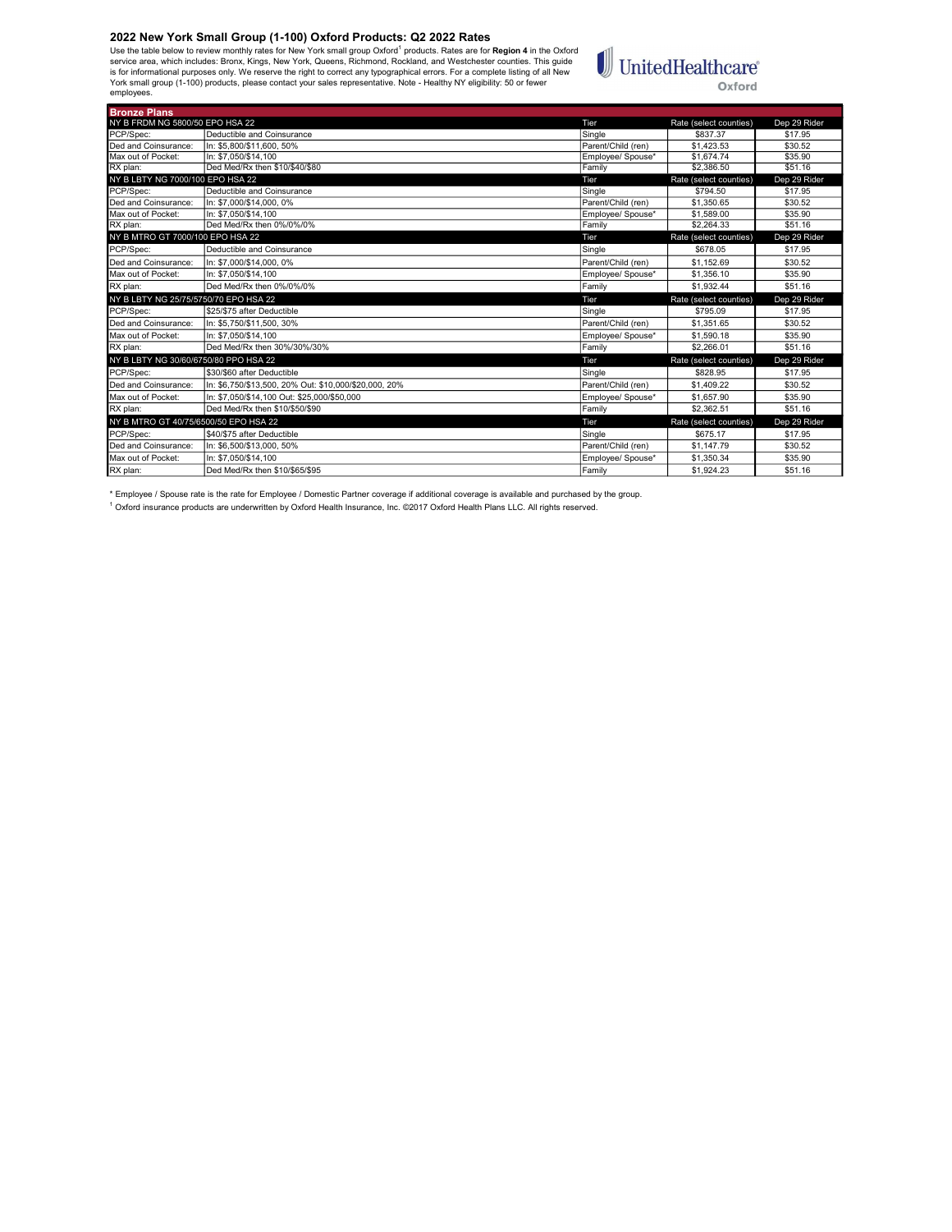Use the table below to review monthly rates for New York small group Oxford<sup>1</sup> products. Rates are for **Region 4** in the Oxford<br>is rorice area, which includes: Bronx, Kings, New York, Queens, Richmond, Rockland, and Westch employees.

## UnitedHealthcare® Oxford

J

| <b>Bronze Plans</b>                   |                                                       |                    |                        |              |
|---------------------------------------|-------------------------------------------------------|--------------------|------------------------|--------------|
| NY B FRDM NG 5800/50 EPO HSA 22       |                                                       | <b>Tier</b>        | Rate (select counties) | Dep 29 Rider |
| PCP/Spec:                             | Deductible and Coinsurance                            | Sinale             | \$837.37               | \$17.95      |
| Ded and Coinsurance:                  | In: \$5.800/\$11.600, 50%                             | Parent/Child (ren) | \$1.423.53             | \$30.52      |
| Max out of Pocket:                    | In: \$7.050/\$14.100                                  | Employee/ Spouse*  | \$1,674.74             | \$35.90      |
| RX plan:                              | Ded Med/Rx then \$10/\$40/\$80                        | Family             | \$2,386.50             | \$51.16      |
| NY B LBTY NG 7000/100 EPO HSA 22      |                                                       | Tier               | Rate (select counties) | Dep 29 Rider |
| PCP/Spec:                             | Deductible and Coinsurance                            | Single             | \$794.50               | \$17.95      |
| Ded and Coinsurance:                  | In: \$7.000/\$14.000, 0%                              | Parent/Child (ren) | \$1.350.65             | \$30.52      |
| Max out of Pocket:                    | In: \$7.050/\$14.100                                  | Employee/ Spouse*  | \$1,589.00             | \$35.90      |
| RX plan:                              | Ded Med/Rx then 0%/0%/0%                              | Family             | \$2,264.33             | \$51.16      |
| NY B MTRO GT 7000/100 EPO HSA 22      |                                                       | Tier               | Rate (select counties) | Dep 29 Rider |
| PCP/Spec:                             | Deductible and Coinsurance                            | Single             | \$678.05               | \$17.95      |
| Ded and Coinsurance:                  | In: \$7.000/\$14.000, 0%                              | Parent/Child (ren) | \$1.152.69             | \$30.52      |
| Max out of Pocket:                    | In: \$7.050/\$14.100                                  | Employee/ Spouse*  | \$1,356.10             | \$35.90      |
| RX plan:                              | Ded Med/Rx then 0%/0%/0%                              | Family             | \$1.932.44             | \$51.16      |
| NY B LBTY NG 25/75/5750/70 EPO HSA 22 |                                                       | Tier               | Rate (select counties) | Dep 29 Rider |
| PCP/Spec:                             | \$25/\$75 after Deductible                            | Sinale             | \$795.09               | \$17.95      |
| Ded and Coinsurance:                  | In: \$5.750/\$11.500. 30%                             | Parent/Child (ren) | \$1.351.65             | \$30.52      |
| Max out of Pocket:                    | In: \$7.050/\$14.100                                  | Employee/ Spouse*  | \$1,590.18             | \$35.90      |
| RX plan:                              | Ded Med/Rx then 30%/30%/30%                           | Family             | \$2,266.01             | \$51.16      |
| NY B LBTY NG 30/60/6750/80 PPO HSA 22 |                                                       | Tier               | Rate (select counties) | Dep 29 Rider |
| PCP/Spec:                             | \$30/\$60 after Deductible                            | Single             | \$828.95               | \$17.95      |
| Ded and Coinsurance:                  | In: \$6.750/\$13.500. 20% Out: \$10.000/\$20.000. 20% | Parent/Child (ren) | \$1,409.22             | \$30.52      |
| Max out of Pocket:                    | In: \$7.050/\$14.100 Out: \$25.000/\$50.000           | Employee/ Spouse*  | \$1,657.90             | \$35.90      |
| RX plan:                              | Ded Med/Rx then \$10/\$50/\$90                        | Family             | \$2.362.51             | \$51.16      |
| NY B MTRO GT 40/75/6500/50 EPO HSA 22 |                                                       | Tier               | Rate (select counties) | Dep 29 Rider |
| PCP/Spec:                             | \$40/\$75 after Deductible                            | Sinale             | \$675.17               | \$17.95      |
| Ded and Coinsurance:                  | In: \$6.500/\$13.000. 50%                             | Parent/Child (ren) | \$1,147.79             | \$30.52      |
| Max out of Pocket:                    | In: \$7.050/\$14.100                                  | Employee/ Spouse*  | \$1.350.34             | \$35.90      |
| RX plan:                              | Ded Med/Rx then \$10/\$65/\$95                        | Family             | \$1.924.23             | \$51.16      |

\* Employee / Spouse rate is the rate for Employee / Domestic Partner coverage if additional coverage is available and purchased by the group.<br><sup>1</sup> Oxford insurance products are underwritten by Oxford Health Insurance, Inc.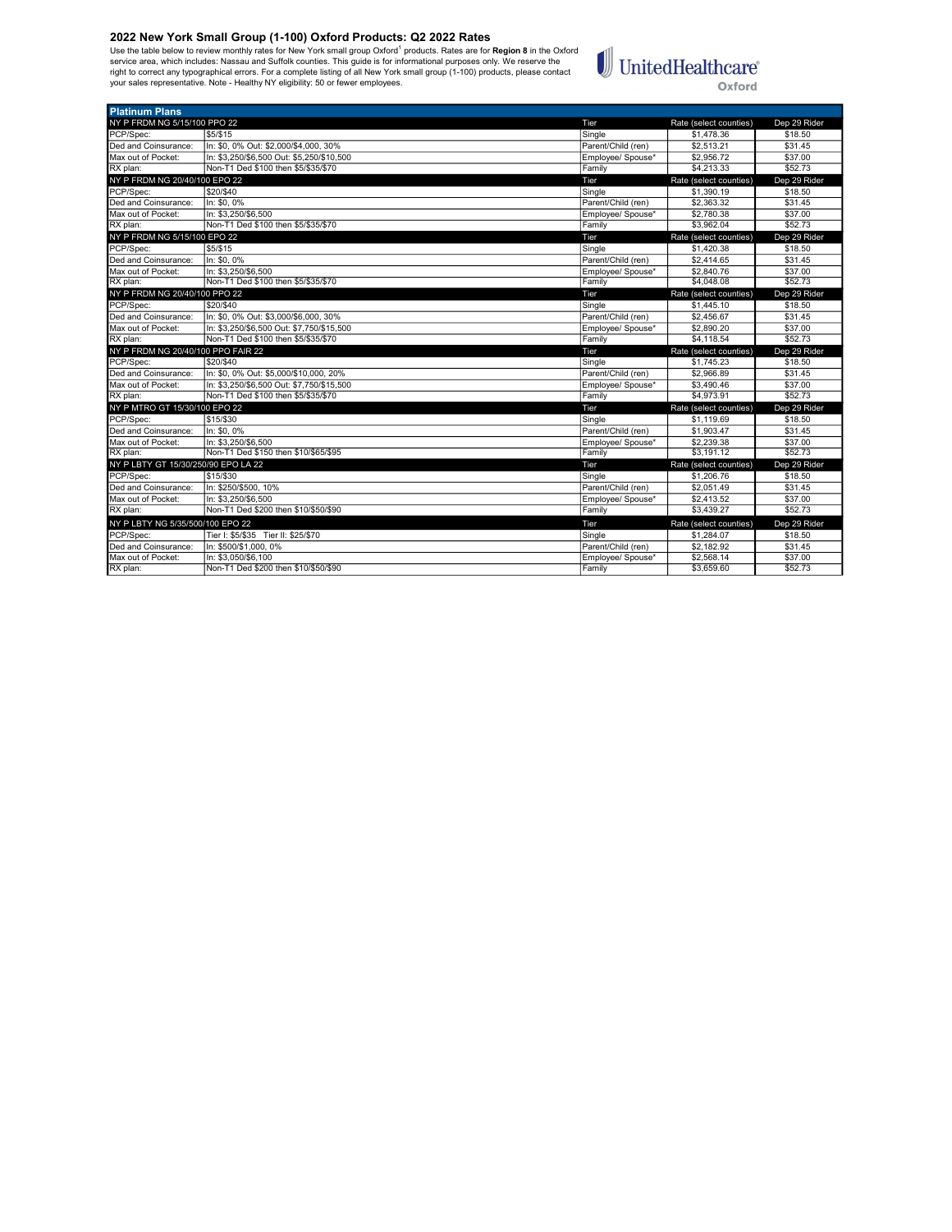Use the table below to review monthly rates for New York small group Oxford<sup>1</sup> products. Rates are for **Region 8** in the Oxford<br>service area, which includes: Nassau and Suffolk counties. This guide is for informational pur



| <b>Platinum Plans</b>               |                                           |                    |                        |              |
|-------------------------------------|-------------------------------------------|--------------------|------------------------|--------------|
| NY P FRDM NG 5/15/100 PPO 22        |                                           | Tier               | Rate (select counties) | Dep 29 Rider |
| PCP/Spec:                           | \$5/\$15                                  | Single             | \$1,478.36             | \$18.50      |
| Ded and Coinsurance:                | In: \$0, 0% Out: \$2,000/\$4,000, 30%     | Parent/Child (ren) | \$2.513.21             | \$31.45      |
| Max out of Pocket:                  | In: \$3,250/\$6,500 Out: \$5,250/\$10,500 | Employee/ Spouse*  | \$2,956.72             | \$37.00      |
| RX plan:                            | Non-T1 Ded \$100 then \$5/\$35/\$70       | Family             | \$4,213.33             | \$52.73      |
| NY P FRDM NG 20/40/100 EPO 22       |                                           | Tier               | Rate (select counties) | Dep 29 Rider |
| PCP/Spec:                           | \$20/\$40                                 | Single             | \$1,390.19             | \$18.50      |
| Ded and Coinsurance:                | In: \$0.0%                                | Parent/Child (ren) | \$2,363.32             | \$31.45      |
| Max out of Pocket:                  | In: \$3.250/\$6.500                       | Employee/ Spouse*  | \$2,780.38             | \$37.00      |
| RX plan:                            | Non-T1 Ded \$100 then \$5/\$35/\$70       | Family             | \$3,962.04             | \$52.73      |
| NY P FRDM NG 5/15/100 EPO 22        |                                           | Tier               | Rate (select counties) | Dep 29 Rider |
| PCP/Spec:                           | \$5/\$15                                  | Single             | \$1,420.38             | \$18.50      |
| Ded and Coinsurance:                | In: \$0, 0%                               | Parent/Child (ren) | \$2,414.65             | \$31.45      |
| Max out of Pocket:                  | In: \$3.250/\$6.500                       | Employee/ Spouse*  | \$2,840.76             | \$37.00      |
| RX plan:                            | Non-T1 Ded \$100 then \$5/\$35/\$70       | Family             | \$4,048.08             | \$52.73      |
| NY P FRDM NG 20/40/100 PPO 22       |                                           | Tier               | Rate (select counties) | Dep 29 Rider |
| PCP/Spec:                           | \$20/\$40                                 | Single             | \$1,445.10             | \$18.50      |
| Ded and Coinsurance:                | In: \$0, 0% Out: \$3,000/\$6,000, 30%     | Parent/Child (ren) | \$2.456.67             | \$31.45      |
| Max out of Pocket:                  | In: \$3.250/\$6.500 Out: \$7.750/\$15.500 | Employee/ Spouse*  | \$2,890.20             | \$37.00      |
| RX plan:                            | Non-T1 Ded \$100 then \$5/\$35/\$70       | Family             | \$4.118.54             | \$52.73      |
| NY P FRDM NG 20/40/100 PPO FAIR 22  |                                           | Tier               | Rate (select counties) | Dep 29 Rider |
| PCP/Spec:                           | \$20/\$40                                 | Single             | \$1,745.23             | \$18.50      |
| Ded and Coinsurance:                | In: \$0, 0% Out: \$5,000/\$10,000, 20%    | Parent/Child (ren) | \$2,966.89             | \$31.45      |
| Max out of Pocket:                  | In: \$3.250/\$6.500 Out: \$7.750/\$15.500 | Employee/ Spouse*  | \$3,490.46             | \$37.00      |
| RX plan:                            | Non-T1 Ded \$100 then \$5/\$35/\$70       | Family             | \$4,973.91             | \$52.73      |
| NY P MTRO GT 15/30/100 EPO 22       |                                           | Tier               | Rate (select counties) | Dep 29 Rider |
| PCP/Spec:                           | \$15/\$30                                 | Single             | \$1.119.69             | \$18.50      |
| Ded and Coinsurance:                | In: \$0.0%                                | Parent/Child (ren) | \$1,903.47             | \$31.45      |
| Max out of Pocket:                  | In: \$3.250/\$6.500                       | Employee/ Spouse*  | \$2,239.38             | \$37.00      |
| RX plan:                            | Non-T1 Ded \$150 then \$10/\$65/\$95      | Family             | \$3.191.12             | \$52.73      |
| NY P LBTY GT 15/30/250/90 EPO LA 22 |                                           | Tier               | Rate (select counties) | Dep 29 Rider |
| PCP/Spec:                           | \$15/\$30                                 | Single             | \$1,206.76             | \$18.50      |
| Ded and Coinsurance:                | In: \$250/\$500, 10%                      | Parent/Child (ren) | \$2,051.49             | \$31.45      |
| Max out of Pocket:                  | In: \$3.250/\$6.500                       | Employee/ Spouse*  | \$2,413.52             | \$37.00      |
| RX plan:                            | Non-T1 Ded \$200 then \$10/\$50/\$90      | Family             | \$3,439.27             | \$52.73      |
| NY P LBTY NG 5/35/500/100 EPO 22    |                                           | Tier               | Rate (select counties) | Dep 29 Rider |
| PCP/Spec:                           | Tier I: \$5/\$35 Tier II: \$25/\$70       | Single             | \$1,284.07             | \$18.50      |
| Ded and Coinsurance:                | In: \$500/\$1,000, 0%                     | Parent/Child (ren) | \$2,182.92             | \$31.45      |
| Max out of Pocket:                  | In: \$3.050/\$6.100                       | Employee/ Spouse*  | \$2,568.14             | \$37.00      |
| RX plan:                            | Non-T1 Ded \$200 then \$10/\$50/\$90      | Family             | \$3,659.60             | \$52.73      |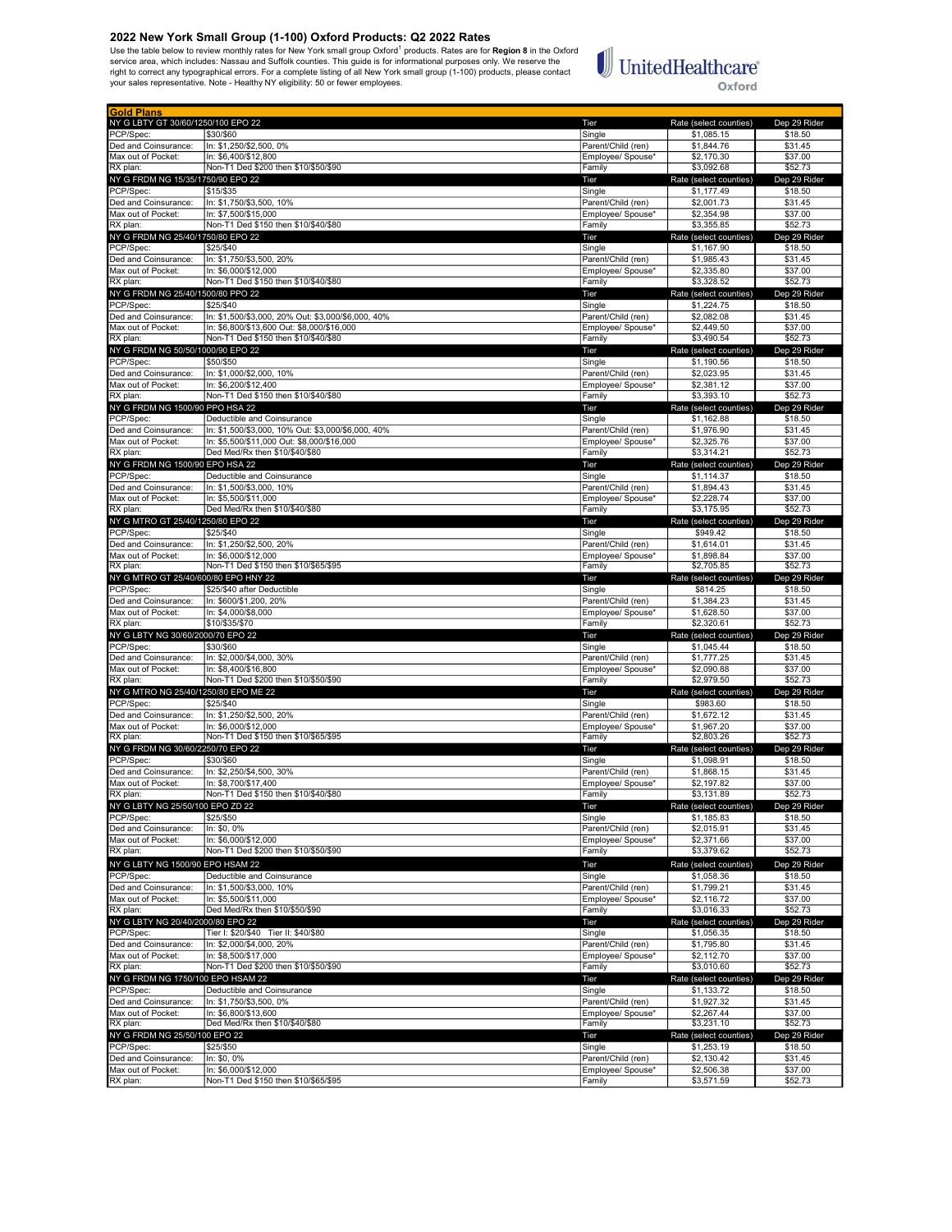2022 New York Small Group (1-100) Oxford Products: Q2 2022 Rates<br>Use the table below to review monthly rates for New York small group Oxford<sup>1</sup> products. Rates are for Region 8 in the Oxford<br>service area, which includes: N

# $\begin{tabular}{|c|c|} \hline \multicolumn{3}{|c|}{\textbf{UnitedHealthcare}}\\ \hline \end{tabular}$ Oxford

| <b>Gold Plans</b>                               |                                                                                                  |                                         |                                      |                         |
|-------------------------------------------------|--------------------------------------------------------------------------------------------------|-----------------------------------------|--------------------------------------|-------------------------|
| NY G LBTY GT 30/60/1250/100 EPO 22<br>PCP/Spec: | \$30/\$60                                                                                        | Tier<br>Single                          | Rate (select counties)<br>\$1,085.15 | Dep 29 Rider<br>\$18.50 |
| Ded and Coinsurance:                            | In: \$1,250/\$2,500, 0%                                                                          | Parent/Child (ren)                      | \$1,844.76                           | \$31.45                 |
| Max out of Pocket:                              | In: \$6,400/\$12,800                                                                             | Employee/ Spouse*                       | \$2,170.30                           | \$37.00                 |
| RX plan:                                        | Non-T1 Ded \$200 then \$10/\$50/\$90                                                             | Family                                  | \$3.092.68                           | \$52.73                 |
| NY G FRDM NG 15/35/1750/90 EPO 22<br>PCP/Spec:  | \$15/\$35                                                                                        | Tier<br>Single                          | Rate (select counties)<br>\$1,177.49 | Dep 29 Rider<br>\$18.50 |
| Ded and Coinsurance:                            | In: \$1,750/\$3,500, 10%                                                                         | Parent/Child (ren)                      | \$2,001.73                           | \$31.45                 |
| Max out of Pocket:                              | In: \$7,500/\$15,000                                                                             | Employee/ Spouse*                       | \$2,354.98                           | \$37.00                 |
| RX plan:<br>NY G FRDM NG 25/40/1750/80 EPO 22   | Non-T1 Ded \$150 then \$10/\$40/\$80                                                             | Family<br>Tier                          | \$3,355.85<br>Rate (select counties) | \$52.73<br>Dep 29 Rider |
| PCP/Spec:                                       | \$25/\$40                                                                                        | Single                                  | \$1,167.90                           | \$18.50                 |
| Ded and Coinsurance:                            | In: \$1,750/\$3,500, 20%                                                                         | Parent/Child (ren)                      | \$1,985.43                           | \$31.45                 |
| Max out of Pocket:                              | In: \$6,000/\$12,000<br>Non-T1 Ded \$150 then \$10/\$40/\$80                                     | Employee/ Spouse*                       | \$2,335.80<br>\$3,328.52             | \$37.00<br>\$52.73      |
| RX plan:<br>NY G FRDM NG 25/40/1500/80 PPO 22   |                                                                                                  | Family<br>Tier                          | Rate (select counties)               | Dep 29 Rider            |
| PCP/Spec:                                       | \$25/\$40                                                                                        | Single                                  | \$1,224.75                           | \$18.50                 |
| Ded and Coinsurance:                            | In: \$1,500/\$3,000, 20% Out: \$3,000/\$6,000, 40%                                               | Parent/Child (ren)                      | \$2,082.08                           | \$31.45                 |
| Max out of Pocket:<br>RX plan:                  | In: \$6,800/\$13,600 Out: \$8,000/\$16,000<br>Non-T1 Ded \$150 then \$10/\$40/\$80               | Employee/ Spouse*<br>Family             | \$2,449.50<br>\$3,490.54             | \$37.00<br>\$52.73      |
| NY G FRDM NG 50/50/1000/90 EPO 22               |                                                                                                  | Tier                                    | Rate (select counties)               | Dep 29 Rider            |
| PCP/Spec:                                       | \$50/\$50                                                                                        | Single                                  | \$1,190.56                           | \$18.50                 |
| Ded and Coinsurance:                            | In: \$1,000/\$2,000, 10%                                                                         | Parent/Child (ren)                      | \$2,023.95                           | \$31.45                 |
| Max out of Pocket:<br>RX plan:                  | In: \$6,200/\$12,400<br>Non-T1 Ded \$150 then \$10/\$40/\$80                                     | Employee/ Spouse*<br>Family             | \$2,381.12<br>\$3,393.10             | \$37.00<br>\$52.73      |
| NY G FRDM NG 1500/90 PPO HSA 22                 |                                                                                                  | Tier                                    | Rate (select counties)               | Dep 29 Rider            |
| PCP/Spec:                                       | Deductible and Coinsurance                                                                       | Single                                  | \$1,162.88                           | \$18.50                 |
| Ded and Coinsurance:<br>Max out of Pocket:      | In: \$1,500/\$3,000, 10% Out: \$3,000/\$6,000, 40%<br>In: \$5.500/\$11.000 Out: \$8.000/\$16.000 | Parent/Child (ren)<br>Emplovee/ Spouse* | \$1,976.90<br>\$2,325.76             | \$31.45<br>\$37.00      |
| RX plan:                                        | Ded Med/Rx then \$10/\$40/\$80                                                                   | Family                                  | \$3.314.21                           | \$52.73                 |
| NY G FRDM NG 1500/90 EPO HSA 22                 |                                                                                                  | Tier                                    | Rate (select counties)               | Dep 29 Rider            |
| PCP/Spec:                                       | Deductible and Coinsurance                                                                       | Single                                  | \$1,114.37                           | \$18.50                 |
| Ded and Coinsurance:<br>Max out of Pocket:      | In: \$1,500/\$3,000, 10%<br>In: \$5,500/\$11,000                                                 | Parent/Child (ren)<br>Employee/ Spouse* | \$1,894.43<br>\$2,228.74             | \$31.45<br>\$37.00      |
| RX plan:                                        | Ded Med/Rx then \$10/\$40/\$80                                                                   | Family                                  | \$3,175.95                           | \$52.73                 |
| NY G MTRO GT 25/40/1250/80 EPO 22               |                                                                                                  | Tier                                    | Rate (select counties)               | Dep 29 Rider            |
| PCP/Spec:                                       | \$25/\$40                                                                                        | Single<br>Parent/Child (ren)            | \$949.42                             | \$18.50                 |
| Ded and Coinsurance:<br>Max out of Pocket:      | In: \$1,250/\$2,500, 20%<br>In: \$6,000/\$12,000                                                 | Employee/ Spouse*                       | \$1,614.01<br>\$1,898.84             | \$31.45<br>\$37.00      |
| RX plan:                                        | Non-T1 Ded \$150 then \$10/\$65/\$95                                                             | Family                                  | \$2,705.85                           | \$52.73                 |
| NY G MTRO GT 25/40/600/80 EPO HNY 22            |                                                                                                  | Tier                                    | Rate (select counties)               | Dep 29 Rider            |
| PCP/Spec:<br>Ded and Coinsurance:               | \$25/\$40 after Deductible<br>In: \$600/\$1,200, 20%                                             | Single<br>Parent/Child (ren)            | \$814.25<br>\$1,384.23               | \$18.50<br>\$31.45      |
| Max out of Pocket:                              | In: \$4,000/\$8,000                                                                              | Employee/ Spouse*                       | \$1,628.50                           | \$37.00                 |
| RX plan:                                        | \$10/\$35/\$70                                                                                   | Family                                  | \$2,320.61                           | \$52.73                 |
|                                                 |                                                                                                  |                                         |                                      |                         |
| NY G LBTY NG 30/60/2000/70 EPO 22               |                                                                                                  | Tier                                    | Rate (select counties)               | Dep 29 Rider            |
| PCP/Spec:                                       | \$30/\$60                                                                                        | Single                                  | \$1,045.44                           | \$18.50                 |
| Ded and Coinsurance:<br>Max out of Pocket:      | In: \$2,000/\$4,000, 30%<br>In: \$8,400/\$16,800                                                 | Parent/Child (ren)<br>Employee/ Spouse* | \$1,777.25<br>\$2,090.88             | \$31.45<br>\$37.00      |
| RX plan:                                        | Non-T1 Ded \$200 then \$10/\$50/\$90                                                             | Family                                  | \$2,979.50                           | \$52.73                 |
| NY G MTRO NG 25/40/1250/80 EPO ME 22            |                                                                                                  | Tier                                    | Rate (select counties)               | Dep 29 Rider            |
| PCP/Spec:<br>Ded and Coinsurance:               | \$25/\$40<br>In: \$1,250/\$2,500, 20%                                                            | Single<br>Parent/Child (ren)            | \$983.60<br>\$1,672.12               | \$18.50<br>\$31.45      |
| Max out of Pocket:                              | In: \$6.000/\$12.000                                                                             | Emplovee/ Spouse*                       | \$1,967.20                           | \$37.00                 |
| RX plan:                                        | Non-T1 Ded \$150 then \$10/\$65/\$95                                                             | Family                                  | \$2,803.26                           | \$52.73                 |
| NY G FRDM NG 30/60/2250/70 EPO 22               |                                                                                                  | Tier                                    | Rate (select counties)               | Dep 29 Rider            |
| PCP/Spec:<br>Ded and Coinsurance:               | \$30/\$60<br>In: \$2,250/\$4,500, 30%                                                            | Single<br>Parent/Child (ren)            | \$1,098.91<br>\$1,868.15             | \$18.50<br>\$31.45      |
| Max out of Pocket:                              | In: \$8,700/\$17,400                                                                             | Employee/ Spouse*                       | \$2,197.82                           | \$37.00                 |
| RX plan:                                        | Non-T1 Ded \$150 then \$10/\$40/\$80                                                             | Family                                  | \$3,131.89                           | \$52.73                 |
| NY G LBTY NG 25/50/100 EPO ZD 22<br>PCP/Spec:   | \$25/\$50                                                                                        | Tier<br>Single                          | Rate (select counties)<br>\$1,185.83 | Dep 29 Rider<br>\$18.50 |
| Ded and Coinsurance:                            | In: \$0, 0%                                                                                      | Parent/Child (ren)                      | \$2,015.91                           | \$31.45                 |
| Max out of Pocket:                              | In: \$6,000/\$12,000                                                                             | Employee/ Spouse*                       | \$2,371.66                           | \$37.00                 |
| RX plan:                                        | Non-T1 Ded \$200 then \$10/\$50/\$90                                                             | Family                                  | \$3,379.62                           | \$52.73                 |
| NY G LBTY NG 1500/90 EPO HSAM 22                |                                                                                                  | Tier                                    | Rate (select counties)               | Dep 29 Rider            |
| PCP/Spec:<br>Ded and Coinsurance:               | Deductible and Coinsurance<br>In: \$1,500/\$3,000, 10%                                           | Single<br>Parent/Child (ren)            | \$1,058.36<br>\$1,799.21             | \$18.50<br>\$31.45      |
| Max out of Pocket:                              | In: \$5,500/\$11,000                                                                             | Emplovee/ Spouse*                       | \$2,116.72                           | \$37.00                 |
| RX plan:                                        | Ded Med/Rx then \$10/\$50/\$90                                                                   | Family                                  | \$3,016.33                           | \$52.73                 |
| NY G LBTY NG 20/40/2000/80 EPO 22<br>PCP/Spec:  | Tier I: \$20/\$40 Tier II: \$40/\$80                                                             | Tier<br>Single                          | Rate (select counties)<br>\$1,056.35 | Dep 29 Rider<br>\$18.50 |
| Ded and Coinsurance:                            | In: \$2,000/\$4,000, 20%                                                                         | Parent/Child (ren)                      | \$1,795.80                           | \$31.45                 |
| Max out of Pocket:                              | In: \$8,500/\$17,000                                                                             | Employee/ Spouse*                       | \$2,112.70                           | \$37.00                 |
| RX plan:<br>NY G FRDM NG 1750/100 EPO HSAM 22   | Non-T1 Ded \$200 then \$10/\$50/\$90                                                             | Family<br>Tier                          | \$3,010.60                           | \$52.73                 |
| PCP/Spec:                                       | Deductible and Coinsurance                                                                       | Single                                  | Rate (select counties)<br>\$1,133.72 | Dep 29 Rider<br>\$18.50 |
| Ded and Coinsurance:                            | In: \$1,750/\$3,500, 0%                                                                          | Parent/Child (ren)                      | \$1,927.32                           | \$31.45                 |
| Max out of Pocket:                              | In: \$6,800/\$13,600                                                                             | Employee/ Spouse*                       | \$2,267.44                           | \$37.00                 |
| RX plan:                                        | Ded Med/Rx then \$10/\$40/\$80                                                                   | Family                                  | \$3,231.10                           | \$52.73                 |
| NY G FRDM NG 25/50/100 EPO 22<br>PCP/Spec:      | \$25/\$50                                                                                        | Tier<br>Single                          | Rate (select counties)<br>\$1,253.19 | Dep 29 Rider<br>\$18.50 |
| Ded and Coinsurance:<br>Max out of Pocket:      | In: \$0, 0%<br>In: \$6,000/\$12,000                                                              | Parent/Child (ren)<br>Employee/ Spouse* | \$2,130.42<br>\$2,506.38             | \$31.45<br>\$37.00      |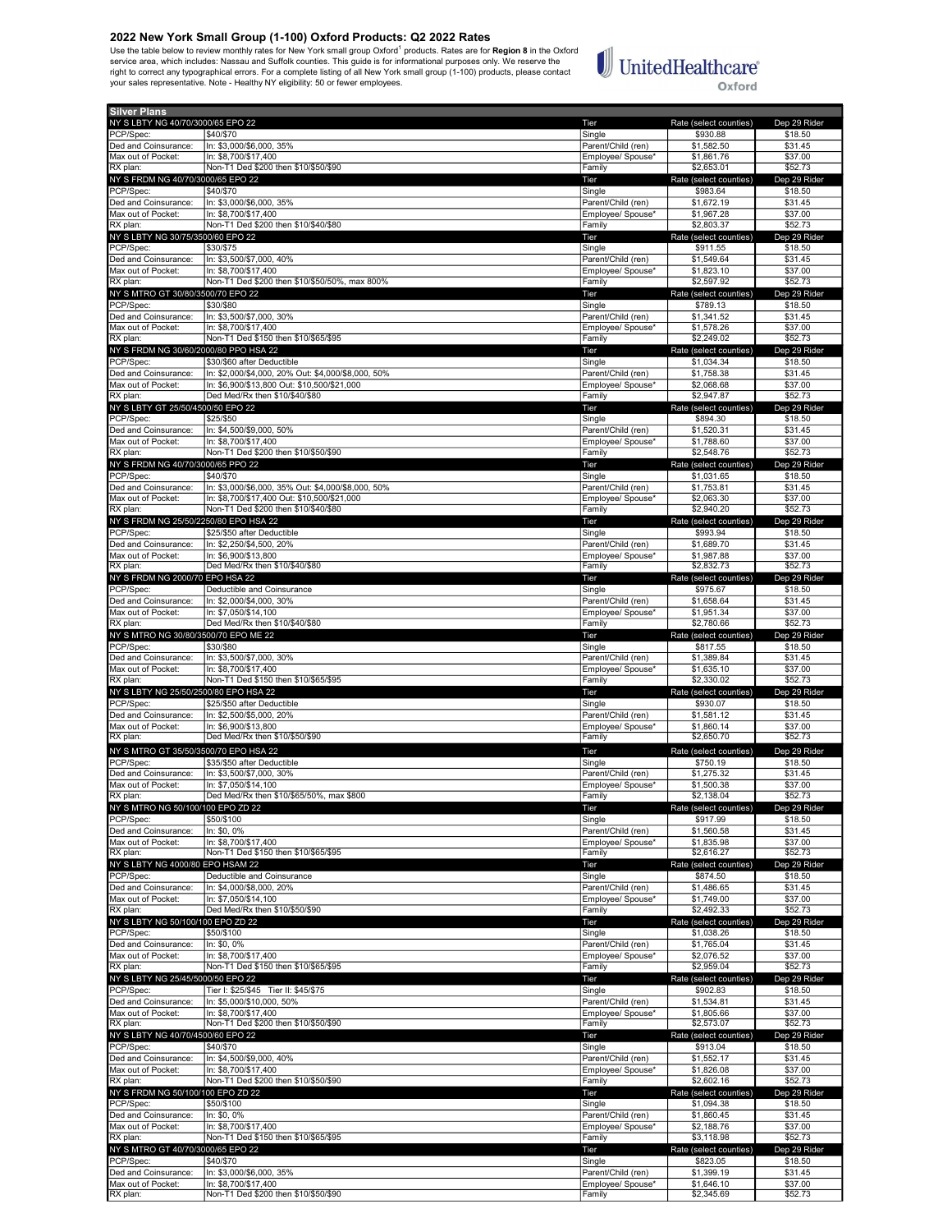2022 New York Small Group (1-100) Oxford Products: Q2 2022 Rates<br>Use the table below to review monthly rates for New York small group Oxford<sup>1</sup> products. Rates are for Region 8 in the Oxford<br>service area, which includes: N



Oxford

| NY S LBTY NG 40/70/3000/65 EPO 22<br>PCP/Spec:<br>Ded and Coinsurance: |                                                                                                   |                                         |                                      |                         |
|------------------------------------------------------------------------|---------------------------------------------------------------------------------------------------|-----------------------------------------|--------------------------------------|-------------------------|
|                                                                        |                                                                                                   | Tier                                    | Rate (select counties)               | Dep 29 Rider            |
|                                                                        | \$40/\$70                                                                                         | Single                                  | \$930.88                             | \$18.50                 |
|                                                                        | In: \$3,000/\$6,000, 35%                                                                          | Parent/Child (ren)                      | \$1,582.50                           | \$31.45                 |
| Max out of Pocket:                                                     | In: \$8,700/\$17,400                                                                              | Employee/ Spouse*                       | \$1,861.76                           | \$37.00                 |
| RX plan:                                                               | Non-T1 Ded \$200 then \$10/\$50/\$90                                                              | Family                                  | \$2,653.01                           | \$52.73                 |
| NY S FRDM NG 40/70/3000/65 EPO 22<br>PCP/Spec:                         | \$40/\$70                                                                                         | Tier<br>Single                          | Rate (select counties)<br>\$983.64   | Dep 29 Rider<br>\$18.50 |
| Ded and Coinsurance:                                                   | In: \$3,000/\$6,000, 35%                                                                          | Parent/Child (ren)                      | \$1,672.19                           | \$31.45                 |
| Max out of Pocket:                                                     | In: \$8,700/\$17,400                                                                              | Employee/ Spouse*                       | \$1,967.28                           | \$37.00                 |
| RX plan:                                                               | Non-T1 Ded \$200 then \$10/\$40/\$80                                                              | Family                                  | \$2,803.37                           | \$52.73                 |
| NY S LBTY NG 30/75/3500/60 EPO 22                                      |                                                                                                   | Tier                                    | Rate (select counties)               | Dep 29 Rider            |
| PCP/Spec:                                                              | \$30/\$75                                                                                         | Single                                  | \$911.55                             | \$18.50                 |
| Ded and Coinsurance:                                                   | In: \$3,500/\$7,000, 40%                                                                          | Parent/Child (ren)                      | \$1,549.64                           | \$31.45                 |
| Max out of Pocket:<br>RX plan:                                         | In: \$8,700/\$17,400<br>Non-T1 Ded \$200 then \$10/\$50/50%, max 800%                             | Emplovee/ Spouse*<br>Family             | \$1,823.10<br>\$2,597.92             | \$37.00<br>\$52.73      |
| NY S MTRO GT 30/80/3500/70 EPO 22                                      |                                                                                                   | Tier                                    | Rate (select counties)               | Dep 29 Rider            |
| PCP/Spec:                                                              | \$30/\$80                                                                                         | Single                                  | \$789.13                             | \$18.50                 |
| Ded and Coinsurance:                                                   | In: \$3,500/\$7,000, 30%                                                                          | Parent/Child (ren)                      | \$1,341.52                           | \$31.45                 |
| Max out of Pocket:                                                     | In: \$8.700/\$17.400                                                                              | Employee/ Spouse*                       | \$1,578.26                           | \$37.00                 |
| RX plan:                                                               | Non-T1 Ded \$150 then \$10/\$65/\$95                                                              | Family                                  | \$2,249.02                           | \$52.73                 |
| NY S FRDM NG 30/60/2000/80 PPO HSA 22                                  |                                                                                                   | Tier                                    | Rate (select counties)               | Dep 29 Rider            |
| PCP/Spec:                                                              | \$30/\$60 after Deductible                                                                        | Single                                  | \$1,034.34                           | \$18.50                 |
| Ded and Coinsurance:<br>Max out of Pocket:                             | In: \$2,000/\$4,000, 20% Out: \$4,000/\$8,000, 50%<br>In: \$6,900/\$13,800 Out: \$10,500/\$21,000 | Parent/Child (ren)                      | \$1,758.38<br>\$2,068.68             | \$31.45<br>\$37.00      |
| RX plan:                                                               | Ded Med/Rx then \$10/\$40/\$80                                                                    | Employee/ Spouse*<br>Family             | \$2,947.87                           | \$52.73                 |
| NY S LBTY GT 25/50/4500/50 EPO 22                                      |                                                                                                   | Tier                                    | Rate (select counties)               | Dep 29 Rider            |
| PCP/Spec:                                                              | \$25/\$50                                                                                         | Single                                  | \$894.30                             | \$18.50                 |
| Ded and Coinsurance:                                                   | In: \$4,500/\$9,000, 50%                                                                          | Parent/Child (ren)                      | \$1,520.31                           | \$31.45                 |
| Max out of Pocket:                                                     | In: \$8,700/\$17,400                                                                              | Employee/ Spouse*                       | \$1,788.60                           | \$37.00                 |
| RX plan:                                                               | Non-T1 Ded \$200 then \$10/\$50/\$90                                                              | Family                                  | \$2,548.76                           | \$52.73                 |
| NY S FRDM NG 40/70/3000/65 PPO 22                                      |                                                                                                   | Tier                                    | Rate (select counties)               | Dep 29 Rider            |
| PCP/Spec:<br>Ded and Coinsurance:                                      | \$40/\$70<br>In: \$3,000/\$6,000, 35% Out: \$4,000/\$8,000, 50%                                   | Single<br>Parent/Child (ren)            | \$1,031.65<br>\$1,753.81             | \$18.50<br>\$31.45      |
| Max out of Pocket:                                                     | In: \$8,700/\$17,400 Out: \$10,500/\$21,000                                                       | Employee/ Spouse*                       | \$2,063.30                           | \$37.00                 |
| RX plan:                                                               | Non-T1 Ded \$200 then \$10/\$40/\$80                                                              | Family                                  | \$2,940.20                           | \$52.73                 |
| NY S FRDM NG 25/50/2250/80 EPO HSA 22                                  |                                                                                                   | Tier                                    | Rate (select counties)               | Dep 29 Rider            |
| PCP/Spec:                                                              | \$25/\$50 after Deductible                                                                        | Single                                  | \$993.94                             | \$18.50                 |
| Ded and Coinsurance:                                                   | In: \$2,250/\$4,500, 20%                                                                          | Parent/Child (ren)                      | \$1,689.70                           | \$31.45                 |
| Max out of Pocket:                                                     | In: \$6,900/\$13,800                                                                              | Employee/ Spouse*                       | \$1,987.88                           | \$37.00                 |
| RX plan:<br>NY S FRDM NG 2000/70 EPO HSA 22                            | Ded Med/Rx then \$10/\$40/\$80                                                                    | Family                                  | \$2,832.73<br>Rate (select counties) | \$52.73                 |
| PCP/Spec:                                                              | Deductible and Coinsurance                                                                        | Tier<br>Single                          | \$975.67                             | Dep 29 Rider<br>\$18.50 |
| Ded and Coinsurance:                                                   | In: \$2,000/\$4,000, 30%                                                                          | Parent/Child (ren)                      | \$1,658.64                           | \$31.45                 |
| Max out of Pocket:                                                     | In: \$7.050/\$14.100                                                                              | Employee/ Spouse*                       | \$1,951.34                           | \$37.00                 |
| RX plan:                                                               | Ded Med/Rx then \$10/\$40/\$80                                                                    | Family                                  | \$2,780.66                           | \$52.73                 |
| NY S MTRO NG 30/80/3500/70 EPO ME 22                                   |                                                                                                   | Tier                                    | Rate (select counties)               | Dep 29 Rider            |
| PCP/Spec:                                                              | \$30/\$80                                                                                         | Single                                  | \$817.55                             | \$18.50                 |
| Ded and Coinsurance:<br>Max out of Pocket:                             | In: \$3,500/\$7,000, 30%<br>In: \$8,700/\$17,400                                                  | Parent/Child (ren)<br>Employee/ Spouse* | \$1,389.84<br>\$1,635.10             | \$31.45<br>\$37.00      |
| RX plan:                                                               | Non-T1 Ded \$150 then \$10/\$65/\$95                                                              | Family                                  | \$2,330.02                           | \$52.73                 |
| NY S LBTY NG 25/50/2500/80 EPO HSA 22                                  |                                                                                                   | Tier                                    | Rate (select counties)               | Dep 29 Rider            |
| PCP/Spec:                                                              | \$25/\$50 after Deductible                                                                        | Single                                  | \$930.07                             | \$18.50                 |
| Ded and Coinsurance:                                                   | In: \$2,500/\$5,000, 20%                                                                          | Parent/Child (ren)                      | \$1,581.12                           | \$31.45                 |
| Max out of Pocket:                                                     | In: \$6,900/\$13,800                                                                              | Emplovee/ Spouse*                       | \$1,860.14                           | \$37.00                 |
| RX plan:                                                               | Ded Med/Rx then \$10/\$50/\$90                                                                    | Family                                  | \$2,650.70                           | \$52.73                 |
| NY S MTRO GT 35/50/3500/70 EPO HSA 22                                  | \$35/\$50 after Deductible                                                                        | Tier                                    | Rate (select counties)               | Dep 29 Rider<br>\$18.50 |
| PCP/Spec:<br>Ded and Coinsurance:                                      | In: \$3,500/\$7,000, 30%                                                                          | Single<br>Parent/Child (ren)            | \$750.19                             |                         |
| Max out of Pocket:                                                     | In: \$7.050/\$14.100                                                                              |                                         |                                      |                         |
|                                                                        |                                                                                                   |                                         | \$1,275.32<br>\$1,500.38             | \$31.45<br>\$37.00      |
| RX plan:                                                               | Ded Med/Rx then \$10/\$65/50%, max \$800                                                          | Employee/ Spouse*<br>Family             | \$2,138.04                           | \$52.73                 |
| NY S MTRO NG 50/100/100 EPO ZD 22                                      |                                                                                                   | Tier                                    | Rate (select counties)               | Dep 29 Rider            |
| PCP/Spec:                                                              | \$50/\$100                                                                                        | Single                                  | \$917.99                             | \$18.50                 |
| Ded and Coinsurance:                                                   | In: \$0, 0%                                                                                       | Parent/Child (ren)                      | \$1,560.58                           | \$31.45                 |
| Max out of Pocket:                                                     | In: \$8.700/\$17.400                                                                              | Employee/ Spouse*                       | \$1,835.98                           | \$37.00                 |
| RX plan:<br>NY S LBTY NG 4000/80 EPO HSAM 22                           | Non-T1 Ded \$150 then \$10/\$65/\$95                                                              | Family<br>Tier                          | \$2,616.27<br>Rate (select counties) | \$52.73<br>Dep 29 Rider |
| PCP/Spec:                                                              | Deductible and Coinsurance                                                                        | Single                                  | \$874.50                             | \$18.50                 |
| Ded and Coinsurance:                                                   | In: \$4,000/\$8,000, 20%                                                                          | Parent/Child (ren)                      | \$1,486.65                           | \$31.45                 |
| Max out of Pocket:                                                     | In: \$7,050/\$14,100                                                                              | Employee/ Spouse*                       | \$1,749.00                           | \$37.00                 |
| RX plan:                                                               | Ded Med/Rx then \$10/\$50/\$90                                                                    | Family                                  | \$2,492.33                           | \$52.73                 |
| NY S LBTY NG 50/100/100 EPO ZD 22                                      |                                                                                                   | Tier                                    | Rate (select counties)               | Dep 29 Rider            |
| PCP/Spec:                                                              | \$50/\$100                                                                                        | Single                                  | \$1,038.26                           | \$18.50                 |
| Ded and Coinsurance:<br>Max out of Pocket:                             | In: \$0, 0%<br>In: \$8,700/\$17,400                                                               | Parent/Child (ren)<br>Employee/ Spouse* | \$1,765.04<br>\$2,076.52             | \$31.45<br>\$37.00      |
| RX plan:                                                               | Non-T1 Ded \$150 then \$10/\$65/\$95                                                              | Family                                  | \$2,959.04                           | \$52.73                 |
| NY S LBTY NG 25/45/5000/50 EPO 22                                      |                                                                                                   | Tier                                    | Rate (select counties)               | Dep 29 Rider            |
| PCP/Spec:                                                              | Tier I: \$25/\$45 Tier II: \$45/\$75                                                              | Single                                  | \$902.83                             | \$18.50                 |
| Ded and Coinsurance:                                                   | In: \$5,000/\$10,000, 50%                                                                         | Parent/Child (ren)                      | \$1,534.81                           | \$31.45                 |
| Max out of Pocket:                                                     | In: \$8,700/\$17,400                                                                              | Employee/ Spouse*                       | \$1,805.66                           | \$37.00                 |
| RX plan:                                                               | Non-T1 Ded \$200 then \$10/\$50/\$90                                                              | Family                                  | \$2,573.07                           | \$52.73                 |
| NY S LBTY NG 40/70/4500/60 EPO 22<br>PCP/Spec:                         | \$40/\$70                                                                                         | Tier<br>Single                          | Rate (select counties)<br>\$913.04   | Dep 29 Rider<br>\$18.50 |
| Ded and Coinsurance:                                                   | In: \$4,500/\$9,000, 40%                                                                          | Parent/Child (ren)                      | \$1,552.17                           | \$31.45                 |
| Max out of Pocket:                                                     | In: \$8.700/\$17.400                                                                              | Employee/ Spouse*                       | \$1,826.08                           | \$37.00                 |
| RX plan:                                                               | Non-T1 Ded \$200 then \$10/\$50/\$90                                                              | Family                                  | \$2,602.16                           | \$52.73                 |
| NY S FRDM NG 50/100/100 EPO ZD 22                                      |                                                                                                   | Tier                                    | Rate (select counties)               | Dep 29 Rider            |
| PCP/Spec:                                                              | \$50/\$100                                                                                        | Single                                  | \$1,094.38                           | \$18.50                 |
| Ded and Coinsurance:<br>Max out of Pocket:                             | In: \$0, 0%<br>In: \$8,700/\$17,400                                                               | Parent/Child (ren)                      | \$1,860.45                           | \$31.45<br>\$37.00      |
| RX plan:                                                               | Non-T1 Ded \$150 then \$10/\$65/\$95                                                              | Employee/ Spouse*<br>Family             | \$2,188.76<br>\$3,118.98             | \$52.73                 |
| NY S MTRO GT 40/70/3000/65 EPO 22                                      |                                                                                                   | Tier                                    | Rate (select counties)               | Dep 29 Rider            |
| PCP/Spec:                                                              | \$40/\$70                                                                                         | Single                                  | \$823.05                             | \$18.50                 |
| Ded and Coinsurance:<br>Max out of Pocket:                             | In: \$3,000/\$6,000, 35%<br>In: \$8,700/\$17,400                                                  | Parent/Child (ren)<br>Employee/ Spouse* | \$1,399.19<br>\$1,646.10             | \$31.45<br>\$37.00      |